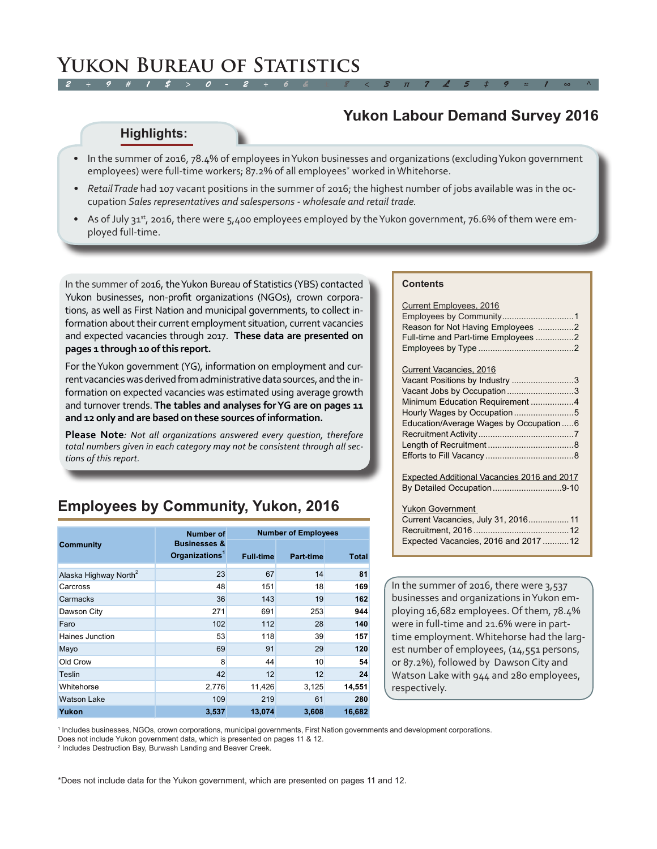#### *2 ÷ 9 # 1 \$ > 0 - 2 + 6 & ± 8 < 3 π 7 £ 5 ‡ 9 ≈ 1 ∞ ^* **Yukon Bureau of Statistics**

## **Yukon Labour Demand Survey 2016**

#### **Highlights:**

- In the summer of 2016, 78.4% of employees in Yukon businesses and organizations (excluding Yukon government employees) were full-time workers; 87.2% of all employees\* worked in Whitehorse.
- *• Retail Trade* had 107 vacant positions in the summer of 2016; the highest number of jobs available was in the occupation *Sales representatives and salespersons - wholesale and retail trade.*
- As of July 31<sup>st</sup>, 2016, there were 5,400 employees employed by the Yukon government, 76.6% of them were employed full-time.

In the summer of 2016, the Yukon Bureau of Statistics (YBS) contacted Yukon businesses, non-profit organizations (NGOs), crown corporations, as well as First Nation and municipal governments, to collect information about their current employment situation, current vacancies and expected vacancies through 2017. **These data are presented on pages 1 through 10 of this report.**

For the Yukon government (YG), information on employment and current vacancies was derived from administrative data sources, and the information on expected vacancies was estimated using average growth and turnover trends. **The tables and analyses for YG are on pages 11 and 12 only and are based on these sources of information.** 

**Please Note***: Not all organizations answered every question, therefore total numbers given in each category may not be consistent through all sections of this report.* 

## **Employees by Community, Yukon, 2016**

|                                   | <b>Number of</b>                                      | <b>Number of Employees</b> |                  |              |  |  |  |
|-----------------------------------|-------------------------------------------------------|----------------------------|------------------|--------------|--|--|--|
| <b>Community</b>                  | <b>Businesses &amp;</b><br>Organizations <sup>1</sup> | <b>Full-time</b>           | <b>Part-time</b> | <b>Total</b> |  |  |  |
| Alaska Highway North <sup>2</sup> | 23                                                    | 67                         | 14               | 81           |  |  |  |
| Carcross                          | 48                                                    | 151                        | 18               | 169          |  |  |  |
| Carmacks                          | 36                                                    | 143                        | 19               | 162          |  |  |  |
| Dawson City                       | 271                                                   | 691                        | 253              | 944          |  |  |  |
| Faro                              | 102                                                   | 112                        | 28               | 140          |  |  |  |
| Haines Junction                   | 53                                                    | 118                        | 39               | 157          |  |  |  |
| Mayo                              | 69                                                    | 91                         | 29               | 120          |  |  |  |
| Old Crow                          | 8                                                     | 44                         | 10               | 54           |  |  |  |
| Teslin                            | 42                                                    | 12                         | 12               | 24           |  |  |  |
| Whitehorse                        | 2,776                                                 | 11,426                     | 3,125            | 14,551       |  |  |  |
| <b>Watson Lake</b>                | 109                                                   | 219                        | 61               | 280          |  |  |  |
| Yukon                             | 3,537                                                 | 13,074                     | 3,608            | 16,682       |  |  |  |

#### **Contents**

| <b>Current Employees, 2016</b><br>Reason for Not Having Employees 2<br>Full-time and Part-time Employees 2 |
|------------------------------------------------------------------------------------------------------------|
| Current Vacancies, 2016                                                                                    |
| Vacant Positions by Industry 3                                                                             |
| Vacant Jobs by Occupation3                                                                                 |
| Minimum Education Requirement 4                                                                            |
|                                                                                                            |
| Education/Average Wages by Occupation 6                                                                    |
|                                                                                                            |
|                                                                                                            |
|                                                                                                            |
|                                                                                                            |
| Expected Additional Vacancies 2016 and 2017                                                                |
| By Detailed Occupation9-10                                                                                 |

Yukon Government

| Current Vacancies, July 31, 2016 11   |  |
|---------------------------------------|--|
|                                       |  |
| Expected Vacancies, 2016 and 2017  12 |  |

In the summer of 2016, there were 3,537 businesses and organizations in Yukon employing 16,682 employees. Of them, 78.4% were in full-time and 21.6% were in parttime employment. Whitehorse had the largest number of employees, (14,551 persons, or 87.2%), followed by Dawson City and Watson Lake with 944 and 280 employees, respectively.

1 Includes businesses, NGOs, crown corporations, municipal governments, First Nation governments and development corporations.

Does not include Yukon government data, which is presented on pages 11 & 12.

2 Includes Destruction Bay, Burwash Landing and Beaver Creek.

\*Does not include data for the Yukon government, which are presented on pages 11 and 12.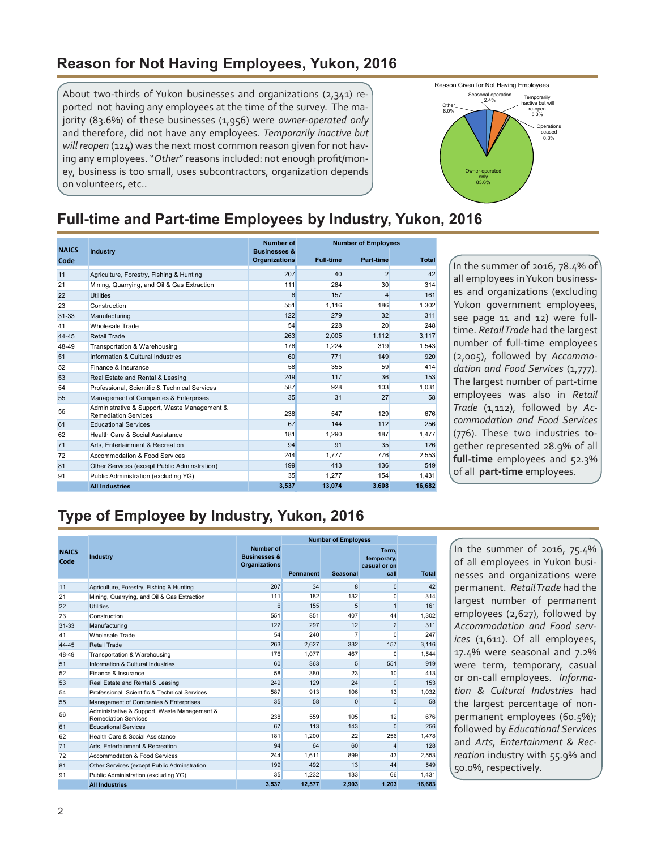#### <span id="page-1-0"></span>**Reason for Not Having Employees, Yukon, 2016**

About two-thirds of Yukon businesses and organizations (2,341) reported not having any employees at the time of the survey. The majority (83.6%) of these businesses (1,956) were *owner-operated only* and therefore, did not have any employees. *Temporarily inactive but will reopen* (124) was the next most common reason given for not having any employees. "*Other*" reasons included: not enough profit/money, business is too small, uses subcontractors, organization depends on volunteers, etc..



## **Full-time and Part-time Employees by Industry, Yukon, 2016**

|                      |                                                                             | <b>Number of</b>                                | <b>Number of Employees</b> |                |              |  |  |  |  |
|----------------------|-----------------------------------------------------------------------------|-------------------------------------------------|----------------------------|----------------|--------------|--|--|--|--|
| <b>NAICS</b><br>Code | Industry                                                                    | <b>Businesses &amp;</b><br><b>Organizations</b> | <b>Full-time</b>           | Part time      | <b>Total</b> |  |  |  |  |
| 11                   | Agriculture, Forestry, Fishing & Hunting                                    | 207                                             | 40                         | $\overline{2}$ | 42           |  |  |  |  |
| 21                   | Mining, Quarrying, and Oil & Gas Extraction                                 | 111                                             | 284                        | 30             | 314          |  |  |  |  |
| 22                   | <b>Utilities</b>                                                            | 6                                               | 157                        | 4              | 161          |  |  |  |  |
| 23                   | Construction                                                                | 551                                             | 1.116                      | 186            | 1.302        |  |  |  |  |
| $31 - 33$            | Manufacturing                                                               | 122                                             | 279                        | 32             | 311          |  |  |  |  |
| 41                   | Wholesale Trade                                                             | 54                                              | 228                        | 20             | 248          |  |  |  |  |
| 44-45                | <b>Retail Trade</b>                                                         | 263                                             | 2,005                      | 1,112          | 3,117        |  |  |  |  |
| 48-49                | Transportation & Warehousing                                                | 176                                             | 1.224                      | 319            | 1,543        |  |  |  |  |
| 51                   | Information & Cultural Industries                                           | 60                                              | 771                        | 149            | 920          |  |  |  |  |
| 52                   | Finance & Insurance                                                         | 58                                              | 355                        | 59             | 414          |  |  |  |  |
| 53                   | Real Estate and Rental & Leasing                                            | 249                                             | 117                        | 36             | 153          |  |  |  |  |
| 54                   | Professional, Scientific & Technical Services                               | 587                                             | 928                        | 103            | 1,031        |  |  |  |  |
| 55                   | Management of Companies & Enterprises                                       | 35                                              | 31                         | 27             | 58           |  |  |  |  |
| 56                   | Administrative & Support, Waste Management &<br><b>Remediation Services</b> | 238                                             | 547                        | 129            | 676          |  |  |  |  |
| 61                   | <b>Educational Services</b>                                                 | 67                                              | 144                        | 112            | 256          |  |  |  |  |
| 62                   | Health Care & Social Assistance                                             | 181                                             | 1.290                      | 187            | 1,477        |  |  |  |  |
| 71                   | Arts. Entertainment & Recreation                                            | 94                                              | 91                         | 35             | 126          |  |  |  |  |
| 72                   | Accommodation & Food Services                                               | 244                                             | 1.777                      | 776            | 2.553        |  |  |  |  |
| 81                   | Other Services (except Public Adminstration)                                | 199                                             | 413                        | 136            | 549          |  |  |  |  |
| 91                   | Public Administration (excluding YG)                                        | 35                                              | 1.277                      | 154            | 1,431        |  |  |  |  |
|                      | <b>All Industries</b>                                                       | 3,537                                           | 13.074                     | 3.608          | 16.682       |  |  |  |  |

In the summer of 2016, 78.4% of all employees in Yukon businesses and organizations (excluding Yukon government employees, see page 11 and 12) were fulltime. *Retail Trade* had the largest number of full-time employees (2,005), followed by *Accommo*dation and Food Services (1,777). The largest number of part-time employees was also in *Retail Trade* (1,112), followed by *Accommodation and Food Services* (776). These two industries together represented 28.9% of all **full-time** employees and 52.3% of all **part-time** employees.

# **Type of Employee by Industry, Yukon, 2016**

|                      |                                                                             |                                                              | <b>Number of Employess</b> |                |                                             |              |
|----------------------|-----------------------------------------------------------------------------|--------------------------------------------------------------|----------------------------|----------------|---------------------------------------------|--------------|
| <b>NAICS</b><br>Code | Industry                                                                    | Number of<br><b>Businesses &amp;</b><br><b>Organizations</b> | Permanent                  | Seasonal       | Term.<br>temporary,<br>casual or on<br>call | <b>Total</b> |
| 11                   | Agriculture, Forestry, Fishing & Hunting                                    | 207                                                          | 34                         | 8              | $\Omega$                                    | 42           |
| 21                   | Mining, Quarrying, and Oil & Gas Extraction                                 | 111                                                          | 182                        | 132            | $\Omega$                                    | 314          |
| 22                   | <b>Utilities</b>                                                            | 6                                                            | 155                        | 5              | $\mathbf{1}$                                | 161          |
| 23                   | Construction                                                                | 551                                                          | 851                        | 407            | 44                                          | 1,302        |
| $31 - 33$            | Manufacturing                                                               | 122                                                          | 297                        | 12             | $\overline{2}$                              | 311          |
| 41                   | Wholesale Trade                                                             | 54                                                           | 240                        | $\overline{7}$ | $\mathbf{0}$                                | 247          |
| 44-45                | Retail Trade                                                                | 263                                                          | 2,627                      | 332            | 157                                         | 3,116        |
| 48-49                | Transportation & Warehousing                                                | 176                                                          | 1.077                      | 467            | $\Omega$                                    | 1.544        |
| 51                   | Information & Cultural Industries                                           | 60                                                           | 363                        | 5              | 551                                         | 919          |
| 52                   | Finance & Insurance                                                         | 58                                                           | 380                        | 23             | 10                                          | 413          |
| 53                   | Real Estate and Rental & Leasing                                            | 249                                                          | 129                        | 24             | $\Omega$                                    | 153          |
| 54                   | Professional, Scientific & Technical Services                               | 587                                                          | 913                        | 106            | 13                                          | 1,032        |
| 55                   | Management of Companies & Enterprises                                       | 35                                                           | 58                         | $\Omega$       | $\Omega$                                    | 58           |
| 56                   | Administrative & Support, Waste Management &<br><b>Remediation Services</b> | 238                                                          | 559                        | 105            | 12                                          | 676          |
| 61                   | <b>Educational Services</b>                                                 | 67                                                           | 113                        | 143            | $\Omega$                                    | 256          |
| 62                   | Health Care & Social Assistance                                             | 181                                                          | 1.200                      | 22             | 256                                         | 1.478        |
| 71                   | Arts, Entertainment & Recreation                                            | 94                                                           | 64                         | 60             | $\overline{\mathbf{4}}$                     | 128          |
| 72                   | Accommodation & Food Services                                               | 244                                                          | 1.611                      | 899            | 43                                          | 2.553        |
| 81                   | Other Services (except Public Adminstration                                 | 199                                                          | 492                        | 13             | 44                                          | 549          |
| 91                   | Public Administration (excluding YG)                                        | 35                                                           | 1.232                      | 133            | 66                                          | 1.431        |
|                      | <b>All Industries</b>                                                       | 3.537                                                        | 12.577                     | 2.903          | 1.203                                       | 16,683       |

In the summer of 2016, 75.4% of all employees in Yukon businesses and organizations were permanent. *Retail Trade* had the largest number of permanent employees (2,627), followed by *Accommodation and Food services* (1,611). Of all employees, 17.4% were seasonal and 7.2% were term, temporary, casual or on-call employees. *Information & Cultural Industries* had the largest percentage of nonpermanent employees (60.5%); followed by *Educational Services* and *Arts, Entertainment & Recreation* industry with 55.9% and 50.0%, respectively.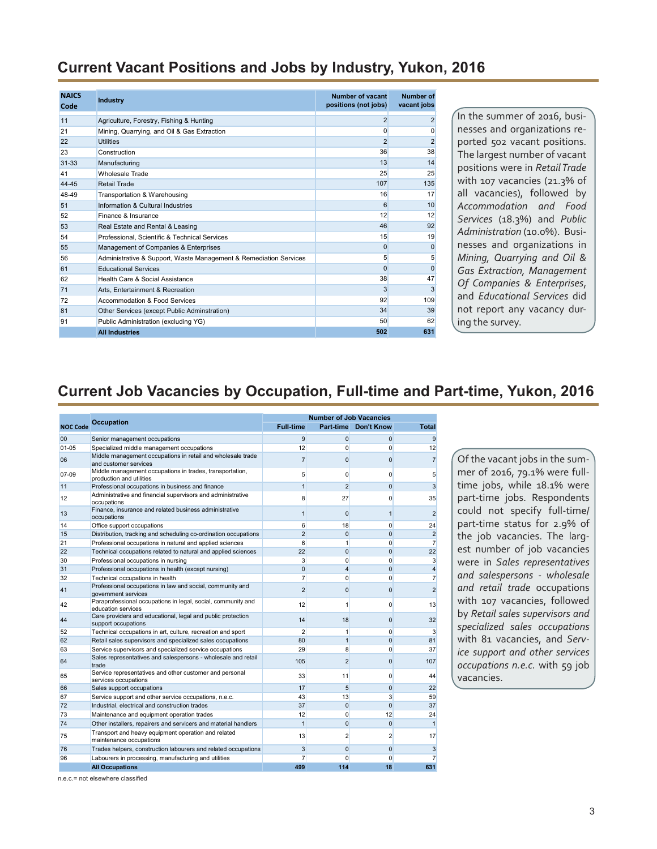#### <span id="page-2-0"></span>**Current Vacant Positions and Jobs by Industry, Yukon, 2016**

| <b>NAICS</b><br>Code | <b>Industry</b>                                                   | Number of vacant<br>positions (not jobs) | Number of<br>vacant jobs |
|----------------------|-------------------------------------------------------------------|------------------------------------------|--------------------------|
| 11                   | Agriculture, Forestry, Fishing & Hunting                          | $\overline{2}$                           | $\overline{2}$           |
| 21                   | Mining, Quarrying, and Oil & Gas Extraction                       | $\Omega$                                 | 0                        |
| 22                   | <b>Utilities</b>                                                  | $\overline{2}$                           | $\overline{2}$           |
| 23                   | Construction                                                      | 36                                       | 38                       |
| $31 - 33$            | Manufacturing                                                     | 13                                       | 14                       |
| 41                   | Wholesale Trade                                                   | 25                                       | 25                       |
| 44-45                | Retail Trade                                                      | 107                                      | 135                      |
| 48-49                | Transportation & Warehousing                                      | 16                                       | 17                       |
| 51                   | Information & Cultural Industries                                 | 6                                        | 10                       |
| 52                   | Finance & Insurance                                               | 12                                       | 12                       |
| 53                   | Real Estate and Rental & Leasing                                  | 46                                       | 92                       |
| 54                   | Professional, Scientific & Technical Services                     | 15                                       | 19                       |
| 55                   | Management of Companies & Enterprises                             | $\mathbf{0}$                             | $\Omega$                 |
| 56                   | Administrative & Support, Waste Management & Remediation Services | 5                                        | 5                        |
| 61                   | <b>Educational Services</b>                                       | $\Omega$                                 | $\Omega$                 |
| 62                   | Health Care & Social Assistance                                   | 38                                       | 47                       |
| 71                   | Arts, Entertainment & Recreation                                  | 3                                        | 3                        |
| 72                   | Accommodation & Food Services                                     | 92                                       | 109                      |
| 81                   | Other Services (except Public Adminstration)                      | 34                                       | 39                       |
| 91                   | Public Administration (excluding YG)                              | 50                                       | 62                       |
|                      | <b>All Industries</b>                                             | 502                                      | 631                      |

In the summer of 2016, businesses and organizations reported 502 vacant positions. The largest number of vacant positions were in *Retail Trade* with 107 vacancies (21.3% of all vacancies), followed by *Accommodation and Food Services* (18.3%) and *Public Administration* (10.0%). Businesses and organizations in *Mining, Quarrying and Oil & Gas Extraction, Management Of Companies & Enterprises*, and *Educational Services* did not report any vacancy during the survey.

#### **Current Job Vacancies by Occupation, Full-time and Part-time, Yukon, 2016**

|                 |                                                                                      |                  | <b>Number of Job Vacancies</b> |                      |                         |
|-----------------|--------------------------------------------------------------------------------------|------------------|--------------------------------|----------------------|-------------------------|
| <b>NOC Code</b> | <b>Occupation</b>                                                                    | <b>Full-time</b> |                                | Part-time Don't Know | <b>Total</b>            |
| 00              | Senior management occupations                                                        | 9                | $\mathbf{0}$                   | $\overline{0}$       | 9                       |
| $01 - 05$       | Specialized middle management occupations                                            | 12               | 0                              | $\mathbf{0}$         | 12                      |
| 06              | Middle management occupations in retail and wholesale trade<br>and customer services | $\overline{7}$   | $\Omega$                       | $\Omega$             | $\overline{7}$          |
| 07-09           | Middle management occupations in trades, transportation,<br>production and utilities | 5                | $\Omega$                       | $\Omega$             | 5                       |
| 11              | Professional occupations in business and finance                                     | $\mathbf{1}$     | $\overline{2}$                 | $\Omega$             | 3                       |
| 12              | Administrative and financial supervisors and administrative<br>occupations           | 8                | 27                             | 0                    | 35                      |
| 13              | Finance, insurance and related business administrative<br>occupations                | $\mathbf{1}$     | $\Omega$                       | 1                    | $\overline{2}$          |
| 14              | Office support occupations                                                           | 6                | 18                             | $\mathbf{0}$         | 24                      |
| 15              | Distribution, tracking and scheduling co-ordination occupations                      | $\overline{2}$   | $\mathbf 0$                    | $\Omega$             | $\overline{2}$          |
| 21              | Professional occupations in natural and applied sciences                             | 6                | 1                              | $\Omega$             | 7                       |
| 22              | Technical occupations related to natural and applied sciences                        | 22               | $\mathbf{0}$                   | $\Omega$             | 22                      |
| 30              | Professional occupations in nursing                                                  | 3                | $\Omega$                       | $\Omega$             | $\overline{3}$          |
| 31              | Professional occupations in health (except nursing)                                  | $\mathbf 0$      | $\overline{4}$                 | $\overline{0}$       | $\overline{\mathbf{4}}$ |
| 32              | Technical occupations in health                                                      | $\overline{7}$   | $\Omega$                       | $\Omega$             | $\overline{7}$          |
| 41              | Professional occupations in law and social, community and<br>government services     | $\overline{2}$   | $\Omega$                       | $\mathbf{0}$         | $\overline{2}$          |
| 42              | Paraprofessional occupations in legal, social, community and<br>education services   | 12               | 1                              | $\Omega$             | 13                      |
| 44              | Care providers and educational, legal and public protection<br>support occupations   | 14               | 18                             | $\Omega$             | 32                      |
| 52              | Technical occupations in art, culture, recreation and sport                          | $\overline{2}$   | 1                              | $\Omega$             | 3                       |
| 62              | Retail sales supervisors and specialized sales occupations                           | 80               | $\mathbf{1}$                   | $\Omega$             | 81                      |
| 63              | Service supervisors and specialized service occupations                              | 29               | 8                              | 0                    | 37                      |
| 64              | Sales representatives and salespersons - wholesale and retail<br>trade               | 105              | $\overline{2}$                 | $\mathbf{0}$         | 107                     |
| 65              | Service representatives and other customer and personal<br>services occupations      | 33               | 11                             | $\Omega$             | 44                      |
| 66              | Sales support occupations                                                            | 17               | 5                              | $\mathbf{0}$         | 22                      |
| 67              | Service support and other service occupations, n.e.c.                                | 43               | 13                             | 3                    | 59                      |
| 72              | Industrial, electrical and construction trades                                       | 37               | $\Omega$                       | $\Omega$             | 37                      |
| 73              | Maintenance and equipment operation trades                                           | 12               | 0                              | 12                   | 24                      |
| 74              | Other installers, repairers and servicers and material handlers                      | $\mathbf{1}$     | $\Omega$                       | $\Omega$             | $\mathbf{1}$            |
| 75              | Transport and heavy equipment operation and related<br>maintenance occupations       | 13               | $\overline{2}$                 | $\overline{2}$       | 17                      |
| 76              | Trades helpers, construction labourers and related occupations                       | 3                | $\mathbf{0}$                   | $\mathbf{0}$         | 3                       |
| 96              | Labourers in processing, manufacturing and utilities                                 | $\overline{7}$   | $\Omega$                       | $\Omega$             | $\overline{7}$          |
|                 | <b>All Occupations</b>                                                               | 499              | 114                            | 18                   | 631                     |

Of the vacant jobs in the summer of 2016, 79.1% were fulltime jobs, while 18.1% were part-time jobs. Respondents could not specify full-time/ part-time status for 2.9% of the job vacancies. The largest number of job vacancies were in *Sales representatives and salespersons - wholesale and retail trade* occupations with 107 vacancies, followed by *Retail sales supervisors and specialized sales occupations* with 81 vacancies, and *Service support and other services occupations n.e.c.* with 59 job vacancies.

n.e.c.= not elsewhere classified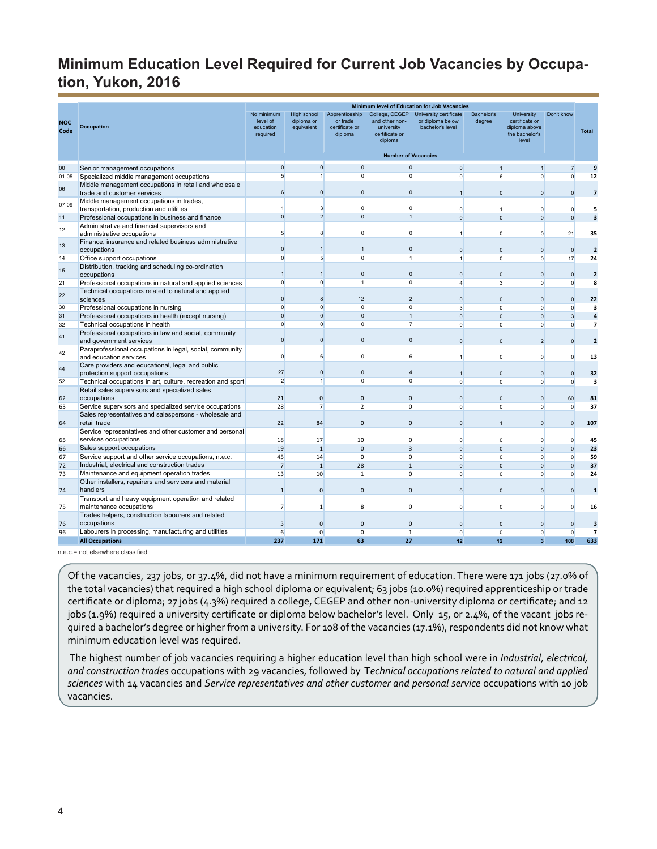#### <span id="page-3-0"></span>**Minimum Education Level Required for Current Job Vacancies by Occupation, Yukon, 2016**

|                    |                                                                                      |                                                 |                                                |                                                         |                                                                             | Minimum level of Education for Job Vacancies                   |                          |                                                                                 |                          |                         |
|--------------------|--------------------------------------------------------------------------------------|-------------------------------------------------|------------------------------------------------|---------------------------------------------------------|-----------------------------------------------------------------------------|----------------------------------------------------------------|--------------------------|---------------------------------------------------------------------------------|--------------------------|-------------------------|
| <b>NOC</b><br>Code | <b>Occupation</b>                                                                    | No minimum<br>level of<br>education<br>required | <b>High school</b><br>diploma or<br>equivalent | Apprenticeship<br>or trade<br>certificate or<br>diploma | College, CEGEP<br>and other non-<br>university<br>certificate or<br>diploma | University certificate<br>or diploma below<br>bachelor's level | Bachelor's<br>degree     | <b>University</b><br>certificate or<br>diploma above<br>the bachelor's<br>level | Don't know               | <b>Total</b>            |
|                    |                                                                                      |                                                 |                                                |                                                         | <b>Number of Vacancies</b>                                                  |                                                                |                          |                                                                                 |                          |                         |
| 00                 | Senior management occupations                                                        | $\Omega$                                        | $\mathbf{0}$                                   | $\mathbf{0}$                                            | $\mathbf{0}$                                                                |                                                                |                          |                                                                                 | $\overline{7}$           | 9                       |
| $01 - 05$          | Specialized middle management occupations                                            | 5                                               | $\overline{1}$                                 | $\mathbf{0}$                                            | $\overline{0}$                                                              | $\Omega$                                                       | 6 <sup>1</sup>           | $\Omega$                                                                        | $\Omega$                 | 12                      |
| 06                 | Middle management occupations in retail and wholesale<br>trade and customer services | 6                                               | $\mathbf{0}$                                   | $\mathbf{0}$                                            | $\mathbf{0}$                                                                |                                                                | $\mathbf{0}$             | $\mathbf{0}$                                                                    | $\Omega$                 | $\overline{7}$          |
| 07-09              | Middle management occupations in trades,<br>transportation, production and utilities |                                                 | 3                                              | $\overline{0}$                                          | $\overline{0}$                                                              | $\mathbf{0}$                                                   | $\mathbf{1}$             | $\mathbf{0}$                                                                    | $\Omega$                 | 5                       |
| 11                 | Professional occupations in business and finance                                     | $\Omega$                                        | $\overline{2}$                                 | $\Omega$                                                | $\overline{1}$                                                              | $\Omega$                                                       | $\mathbf{0}$             | $\Omega$                                                                        | $\Omega$                 | $\overline{\mathbf{3}}$ |
| 12                 | Administrative and financial supervisors and                                         |                                                 |                                                |                                                         |                                                                             |                                                                |                          |                                                                                 |                          |                         |
|                    | administrative occupations                                                           | 5                                               | 8                                              | $\overline{0}$                                          | $\overline{0}$                                                              |                                                                | $\Omega$                 | $\Omega$                                                                        | 21                       | 35                      |
| 13                 | Finance, insurance and related business administrative<br>occupations                | $\Omega$                                        | $\overline{1}$                                 | 1                                                       | $\Omega$                                                                    | $\Omega$                                                       | $\Omega$                 | $\Omega$                                                                        | $\Omega$                 | $\overline{2}$          |
| 14                 | Office support occupations                                                           | $\mathbf{0}$                                    | 5                                              | $\overline{0}$                                          | $\overline{1}$                                                              | $\mathbf{1}$                                                   | $\Omega$                 | $\Omega$                                                                        | 17                       | 24                      |
| 15                 | Distribution, tracking and scheduling co-ordination<br>occupations                   | $\overline{1}$                                  | $\overline{1}$                                 | $\mathbf{0}$                                            | $\Omega$                                                                    | $\Omega$                                                       | $\Omega$                 | $\Omega$                                                                        | $\Omega$                 | $\overline{2}$          |
| 21                 | Professional occupations in natural and applied sciences                             | $\mathbf{0}$                                    | $\overline{0}$                                 | $\mathbf{1}$                                            | $\Omega$                                                                    | $\overline{4}$                                                 | 3                        | $\mathbf{0}$                                                                    | $\mathbf{0}$             | 8                       |
| 22                 | Technical occupations related to natural and applied<br>sciences                     | $\Omega$                                        | 8                                              | 12                                                      | $\overline{2}$                                                              | $\mathbf{0}$                                                   | $\Omega$                 | $\Omega$                                                                        | $\Omega$                 | 22                      |
| 30                 | Professional occupations in nursing                                                  | $\mathbf{0}$                                    | $\overline{0}$                                 | $\overline{0}$                                          | $\Omega$                                                                    | $\overline{\mathbf{3}}$                                        | $\circ$                  | $\overline{0}$                                                                  | $\Omega$                 | $\overline{\mathbf{3}}$ |
| 31                 | Professional occupations in health (except nursing)                                  | $\Omega$                                        | $\overline{0}$                                 | $\mathbf{0}$                                            | $\overline{1}$                                                              | $\Omega$                                                       | $\Omega$                 | $\Omega$                                                                        | 3                        | $\overline{a}$          |
| 32                 | Technical occupations in health                                                      | $\mathbf{0}$                                    | $\mathbf{0}$                                   | $\overline{0}$                                          | $\overline{7}$                                                              | $\Omega$                                                       | $\Omega$                 | $\Omega$                                                                        | $\Omega$                 | 7                       |
| 41                 | Professional occupations in law and social, community<br>and government services     | $\Omega$                                        | $\overline{0}$                                 | $\Omega$                                                | $\Omega$                                                                    | $\Omega$                                                       | $\Omega$                 | $\overline{2}$                                                                  | $\Omega$                 | $\overline{2}$          |
| 42                 | Paraprofessional occupations in legal, social, community<br>and education services   | $\Omega$                                        | 6                                              | $\mathbf{0}$                                            | 6                                                                           |                                                                | $\mathbf{0}$             | $\Omega$                                                                        | $\Omega$                 | 13                      |
| 44                 | Care providers and educational, legal and public<br>protection support occupations   | 27                                              | $\mathbf{0}$                                   | $\mathbf{0}$                                            | $\overline{4}$                                                              | $\mathbf{1}$                                                   | $\Omega$                 | $\mathbf{0}$                                                                    | $\Omega$                 | 32                      |
| 52                 | Technical occupations in art, culture, recreation and sport                          | $\overline{2}$                                  | $\mathbf{1}$                                   | $\overline{0}$                                          | $\overline{0}$                                                              | $\Omega$                                                       | $\Omega$                 | $\mathbf{0}$                                                                    | $\Omega$                 | 3                       |
| 62                 | Retail sales supervisors and specialized sales<br>occupations                        | 21                                              | $\overline{0}$                                 | $\mathbf{0}$                                            | $\mathbf{0}$                                                                | $\Omega$                                                       | $\mathbf{0}$             | $\mathbf{0}$                                                                    | 60                       | 81                      |
| 63                 | Service supervisors and specialized service occupations                              | 28                                              | $\overline{7}$                                 | 2                                                       | $\overline{0}$                                                              | $\overline{0}$                                                 | $\mathbf{0}$             | $\overline{0}$                                                                  | $\circ$                  | 37                      |
|                    | Sales representatives and salespersons - wholesale and                               |                                                 |                                                |                                                         |                                                                             |                                                                |                          |                                                                                 |                          |                         |
| 64                 | retail trade                                                                         | 22                                              | 84                                             | $\overline{0}$                                          | $\mathbf{0}$                                                                | $\Omega$                                                       | $\mathbf{1}$             | $\Omega$                                                                        | $\Omega$                 | 107                     |
|                    | Service representatives and other customer and personal                              |                                                 |                                                |                                                         |                                                                             |                                                                |                          |                                                                                 |                          |                         |
| 65                 | services occupations                                                                 | 18                                              | 17                                             | 10 <sup>°</sup><br>$\Omega$                             | $\Omega$<br>3                                                               | $\mathbf{0}$<br>$\Omega$                                       | $\mathbf{0}$<br>$\Omega$ | $\mathbf{0}$<br>$\Omega$                                                        | $\Omega$                 | 45                      |
| 66<br>67           | Sales support occupations<br>Service support and other service occupations, n.e.c.   | 19<br>45                                        | $\mathbf{1}$<br>14                             | $\overline{0}$                                          | $\Omega$                                                                    | $\Omega$                                                       | $\Omega$                 | $\Omega$                                                                        | $\mathbf{0}$<br>$\Omega$ | 23<br>59                |
| 72                 | Industrial, electrical and construction trades                                       | $\overline{7}$                                  | $\mathbf{1}$                                   | 28                                                      | 1                                                                           | $\mathbf{0}$                                                   | $\Omega$                 | $\mathbf{0}$                                                                    | $\mathbf{0}$             | 37                      |
| 73                 | Maintenance and equipment operation trades                                           | 13                                              | 10                                             | $1\overline{ }$                                         | $\mathbf 0$                                                                 | $\mathbf{0}$                                                   | $\overline{0}$           | $\overline{0}$                                                                  | $\mathbf{0}$             | 24                      |
|                    | Other installers, repairers and servicers and material                               |                                                 |                                                |                                                         |                                                                             |                                                                |                          |                                                                                 |                          |                         |
| 74                 | handlers                                                                             | $\mathbf{1}$                                    | $\Omega$                                       | $\mathbf{0}$                                            | $\Omega$                                                                    | $\Omega$                                                       | $\Omega$                 | $\Omega$                                                                        | $\Omega$                 | $\mathbf{1}$            |
| 75                 | Transport and heavy equipment operation and related<br>maintenance occupations       | $\overline{7}$                                  | $\overline{1}$                                 | 8                                                       | $\Omega$                                                                    | $\Omega$                                                       | $\Omega$                 | $\Omega$                                                                        | $\Omega$                 | 16                      |
|                    | Trades helpers, construction labourers and related                                   |                                                 |                                                |                                                         |                                                                             |                                                                |                          |                                                                                 |                          |                         |
| 76                 | occupations                                                                          | 3                                               | $\mathbf{0}$                                   | $\mathbf{0}$                                            | $\mathbf 0$                                                                 | $\Omega$                                                       | $\mathbf 0$              | $\mathbf{0}$                                                                    | $\Omega$                 | 3                       |
| 96                 | Labourers in processing, manufacturing and utilities                                 | $6 \overline{6}$                                | $\overline{0}$                                 | $\overline{0}$                                          | $1\overline{ }$                                                             | $\Omega$                                                       | $\circ$                  | $\overline{0}$                                                                  | $\Omega$                 | $\overline{7}$          |
|                    | <b>All Occupations</b>                                                               | 237                                             | 171                                            | 63                                                      | 27                                                                          | 12                                                             | 12                       | $\overline{3}$                                                                  | 108                      | 633                     |

n.e.c.= not elsewhere classified

Of the vacancies, 237 jobs, or 37.4%, did not have a minimum requirement of education. There were 171 jobs (27.0% of the total vacancies) that required a high school diploma or equivalent; 63 jobs (10.0%) required apprenticeship or trade certificate or diploma; 27 jobs (4.3%) required a college, CEGEP and other non-university diploma or certificate; and 12 jobs (1.9%) required a university certificate or diploma below bachelor's level. Only 15, or 2.4%, of the vacant jobs required a bachelor's degree or higher from a university. For 108 of the vacancies (17.1%), respondents did not know what minimum education level was required.

The highest number of job vacancies requiring a higher education level than high school were in *Industrial, electrical, and construction trades* occupations with 29 vacancies, followed by T*echnical occupations related to natural and applied sciences* with 14 vacancies and *Service representatives and other customer and personal service* occupations with 10 job vacancies.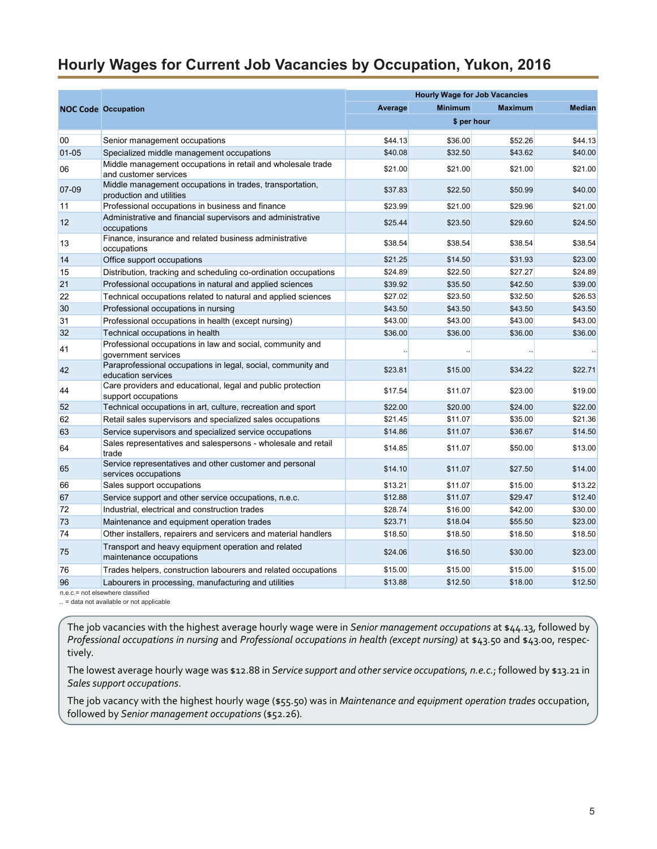#### <span id="page-4-0"></span>**Hourly Wages for Current Job Vacancies by Occupation, Yukon, 2016**

|           |                                                                                      | <b>Hourly Wage for Job Vacancies</b> |                |                |               |  |  |  |
|-----------|--------------------------------------------------------------------------------------|--------------------------------------|----------------|----------------|---------------|--|--|--|
|           | <b>NOC Code Occupation</b>                                                           | Average                              | <b>Minimum</b> | <b>Maximum</b> | <b>Median</b> |  |  |  |
|           |                                                                                      |                                      | \$ per hour    |                |               |  |  |  |
| 00        | Senior management occupations                                                        | \$44.13                              | \$36.00        | \$52.26        | \$44.13       |  |  |  |
| $01 - 05$ | Specialized middle management occupations                                            | \$40.08                              | \$32.50        | \$43.62        | \$40.00       |  |  |  |
| 06        | Middle management occupations in retail and wholesale trade<br>and customer services | \$21.00                              | \$21.00        | \$21.00        | \$21.00       |  |  |  |
| 07-09     | Middle management occupations in trades, transportation,<br>production and utilities | \$37.83                              | \$22.50        | \$50.99        | \$40.00       |  |  |  |
| 11        | Professional occupations in business and finance                                     | \$23.99                              | \$21.00        | \$29.96        | \$21.00       |  |  |  |
| 12        | Administrative and financial supervisors and administrative<br>occupations           | \$25.44                              | \$23.50        | \$29.60        | \$24.50       |  |  |  |
| 13        | Finance, insurance and related business administrative<br>occupations                | \$38.54                              | \$38.54        | \$38.54        | \$38.54       |  |  |  |
| 14        | Office support occupations                                                           | \$21.25                              | \$14.50        | \$31.93        | \$23.00       |  |  |  |
| 15        | Distribution, tracking and scheduling co-ordination occupations                      | \$24.89                              | \$22.50        | \$27.27        | \$24.89       |  |  |  |
| 21        | Professional occupations in natural and applied sciences                             | \$39.92                              | \$35.50        | \$42.50        | \$39.00       |  |  |  |
| 22        | Technical occupations related to natural and applied sciences                        | \$27.02                              | \$23.50        | \$32.50        | \$26.53       |  |  |  |
| 30        | Professional occupations in nursing                                                  | \$43.50                              | \$43.50        | \$43.50        | \$43.50       |  |  |  |
| 31        | Professional occupations in health (except nursing)                                  | \$43.00                              | \$43.00        | \$43.00        | \$43.00       |  |  |  |
| 32        | Technical occupations in health                                                      | \$36.00                              | \$36.00        | \$36.00        | \$36.00       |  |  |  |
| 41        | Professional occupations in law and social, community and<br>government services     |                                      |                |                |               |  |  |  |
| 42        | Paraprofessional occupations in legal, social, community and<br>education services   | \$23.81                              | \$15.00        | \$34.22        | \$22.71       |  |  |  |
| 44        | Care providers and educational, legal and public protection<br>support occupations   | \$17.54                              | \$11.07        | \$23.00        | \$19.00       |  |  |  |
| 52        | Technical occupations in art, culture, recreation and sport                          | \$22.00                              | \$20.00        | \$24.00        | \$22.00       |  |  |  |
| 62        | Retail sales supervisors and specialized sales occupations                           | \$21.45                              | \$11.07        | \$35.00        | \$21.36       |  |  |  |
| 63        | Service supervisors and specialized service occupations                              | \$14.86                              | \$11.07        | \$36.67        | \$14.50       |  |  |  |
| 64        | Sales representatives and salespersons - wholesale and retail<br>trade               | \$14.85                              | \$11.07        | \$50.00        | \$13.00       |  |  |  |
| 65        | Service representatives and other customer and personal<br>services occupations      | \$14.10                              | \$11.07        | \$27.50        | \$14.00       |  |  |  |
| 66        | Sales support occupations                                                            | \$13.21                              | \$11.07        | \$15.00        | \$13.22       |  |  |  |
| 67        | Service support and other service occupations, n.e.c.                                | \$12.88                              | \$11.07        | \$29.47        | \$12.40       |  |  |  |
| 72        | Industrial, electrical and construction trades                                       | \$28.74                              | \$16.00        | \$42.00        | \$30.00       |  |  |  |
| 73        | Maintenance and equipment operation trades                                           | \$23.71                              | \$18.04        | \$55.50        | \$23.00       |  |  |  |
| 74        | Other installers, repairers and servicers and material handlers                      | \$18.50                              | \$18.50        | \$18.50        | \$18.50       |  |  |  |
| 75        | Transport and heavy equipment operation and related<br>maintenance occupations       | \$24.06                              | \$16.50        | \$30.00        | \$23.00       |  |  |  |
| 76        | Trades helpers, construction labourers and related occupations                       | \$15.00                              | \$15.00        | \$15.00        | \$15.00       |  |  |  |
| 96        | Labourers in processing, manufacturing and utilities                                 | \$13.88                              | \$12.50        | \$18.00        | \$12.50       |  |  |  |
|           | n.e.c.= not elsewhere classified                                                     |                                      |                |                |               |  |  |  |

.. = data not available or not applicable

The job vacancies with the highest average hourly wage were in *Senior management occupations* at \$44.13, followed by *Professional occupations in nursing* and *Professional occupations in health (except nursing)* at \$43.50 and \$43.00, respectively.

The lowest average hourly wage was \$12.88 in *Service support and other service occupations, n.e.c.*; followed by \$13.21 in *Sales support occupations*.

The job vacancy with the highest hourly wage (\$55.50) was in *Maintenance and equipment operation trades* occupation, followed by *Senior management occupations* (\$52.26)*.*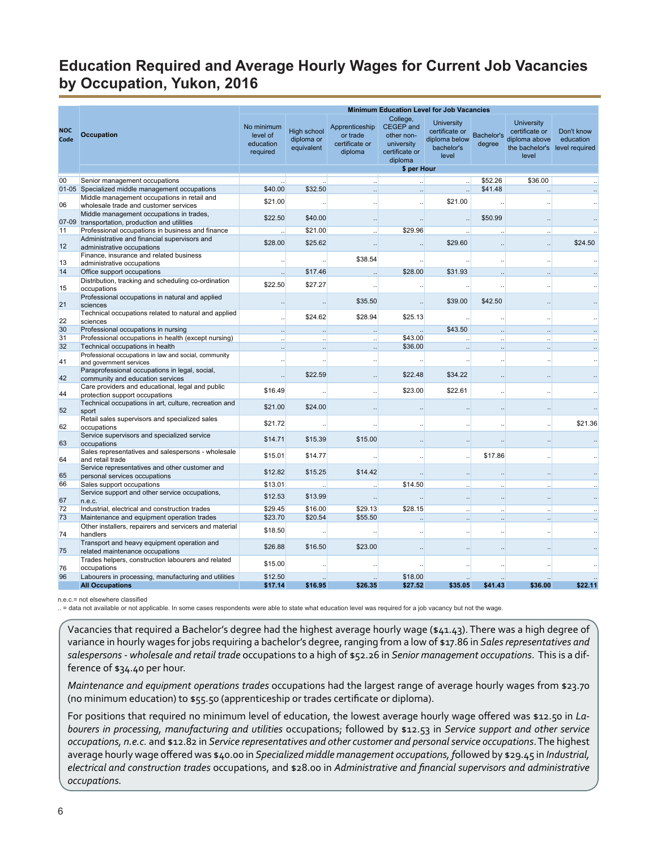# <span id="page-5-0"></span>**Education Required and Average Hourly Wages for Current Job Vacancies by Occupation, Yukon, 2016**

|                    |                                                                                            |                                                 |                                                |                                                         | <b>Minimum Education Level for Job Vacancies</b>                               |                                                                             |                             |                                                                                 |                                           |
|--------------------|--------------------------------------------------------------------------------------------|-------------------------------------------------|------------------------------------------------|---------------------------------------------------------|--------------------------------------------------------------------------------|-----------------------------------------------------------------------------|-----------------------------|---------------------------------------------------------------------------------|-------------------------------------------|
| <b>NOC</b><br>Code | <b>Occupation</b>                                                                          | No minimum<br>level of<br>education<br>required | <b>High school</b><br>diploma or<br>equivalent | Apprenticeship<br>or trade<br>certificate or<br>diploma | College,<br>CEGEP and<br>other non-<br>university<br>certificate or<br>diploma | <b>University</b><br>certificate or<br>diploma below<br>bachelor's<br>level | <b>Bachelor's</b><br>degree | <b>University</b><br>certificate or<br>diploma above<br>the bachelor's<br>level | Don't know<br>education<br>level required |
|                    |                                                                                            |                                                 |                                                |                                                         | \$ per Hour                                                                    |                                                                             |                             |                                                                                 |                                           |
| 00                 | Senior management occupations                                                              |                                                 |                                                |                                                         |                                                                                |                                                                             | \$52.26                     | \$36.00                                                                         |                                           |
|                    | 01-05 Specialized middle management occupations                                            | \$40.00                                         | \$32.50                                        |                                                         |                                                                                |                                                                             | \$41.48                     |                                                                                 |                                           |
|                    | Middle management occupations in retail and                                                | \$21.00                                         |                                                |                                                         |                                                                                | \$21.00                                                                     |                             |                                                                                 |                                           |
| 06                 | wholesale trade and customer services                                                      |                                                 |                                                |                                                         |                                                                                |                                                                             |                             |                                                                                 |                                           |
|                    | Middle management occupations in trades,<br>07-09 transportation, production and utilities | \$22.50                                         | \$40.00                                        |                                                         |                                                                                | $\ddotsc$                                                                   | \$50.99                     |                                                                                 |                                           |
| 11                 | Professional occupations in business and finance                                           |                                                 | \$21.00                                        |                                                         | \$29.96                                                                        |                                                                             |                             |                                                                                 |                                           |
|                    | Administrative and financial supervisors and                                               |                                                 |                                                |                                                         |                                                                                |                                                                             |                             |                                                                                 |                                           |
| 12                 | administrative occupations                                                                 | \$28.00                                         | \$25.62                                        |                                                         |                                                                                | \$29.60                                                                     |                             |                                                                                 | \$24.50                                   |
|                    | Finance, insurance and related business                                                    |                                                 |                                                | \$38.54                                                 |                                                                                |                                                                             |                             |                                                                                 |                                           |
| 13                 | administrative occupations                                                                 |                                                 |                                                |                                                         |                                                                                |                                                                             |                             |                                                                                 |                                           |
| 14                 | Office support occupations                                                                 |                                                 | \$17.46                                        |                                                         | \$28.00                                                                        | \$31.93                                                                     |                             |                                                                                 |                                           |
| 15                 | Distribution, tracking and scheduling co-ordination                                        | \$22.50                                         | \$27.27                                        |                                                         |                                                                                |                                                                             |                             |                                                                                 |                                           |
|                    | occupations<br>Professional occupations in natural and applied                             |                                                 |                                                |                                                         |                                                                                |                                                                             |                             |                                                                                 |                                           |
| 21                 | sciences                                                                                   |                                                 |                                                | \$35.50                                                 |                                                                                | \$39.00                                                                     | \$42.50                     |                                                                                 |                                           |
|                    | Technical occupations related to natural and applied                                       |                                                 | \$24.62                                        | \$28.94                                                 | \$25.13                                                                        |                                                                             |                             |                                                                                 |                                           |
| 22                 | sciences                                                                                   |                                                 |                                                |                                                         |                                                                                |                                                                             |                             |                                                                                 |                                           |
| 30                 | Professional occupations in nursing                                                        |                                                 |                                                |                                                         |                                                                                | \$43.50                                                                     |                             |                                                                                 |                                           |
| 31                 | Professional occupations in health (except nursing)                                        |                                                 |                                                |                                                         | \$43.00                                                                        |                                                                             |                             |                                                                                 |                                           |
| 32                 | Technical occupations in health                                                            |                                                 |                                                |                                                         | \$36.00                                                                        |                                                                             |                             |                                                                                 |                                           |
| 41                 | Professional occupations in law and social, community<br>and government services           |                                                 |                                                |                                                         |                                                                                |                                                                             | $\cdot\cdot$                |                                                                                 |                                           |
| 42                 | Paraprofessional occupations in legal, social,<br>community and education services         |                                                 | \$22.59                                        |                                                         | \$22.48                                                                        | \$34.22                                                                     |                             |                                                                                 |                                           |
|                    | Care providers and educational, legal and public                                           | \$16.49                                         |                                                |                                                         | \$23.00                                                                        | \$22.61                                                                     |                             |                                                                                 |                                           |
| 44                 | protection support occupations                                                             |                                                 |                                                |                                                         |                                                                                |                                                                             |                             |                                                                                 |                                           |
|                    | Technical occupations in art, culture, recreation and                                      | \$21.00                                         | \$24.00                                        |                                                         |                                                                                |                                                                             |                             |                                                                                 |                                           |
| 52                 | sport                                                                                      |                                                 |                                                |                                                         |                                                                                |                                                                             |                             |                                                                                 |                                           |
| 62                 | Retail sales supervisors and specialized sales<br>occupations                              | \$21.72                                         |                                                |                                                         |                                                                                |                                                                             |                             |                                                                                 | \$21.36                                   |
| 63                 | Service supervisors and specialized service<br>occupations                                 | \$14.71                                         | \$15.39                                        | \$15.00                                                 |                                                                                |                                                                             |                             |                                                                                 |                                           |
| 64                 | Sales representatives and salespersons - wholesale<br>and retail trade                     | \$15.01                                         | \$14.77                                        |                                                         |                                                                                | $\ddot{\phantom{0}}$                                                        | \$17.86                     |                                                                                 |                                           |
| 65                 | Service representatives and other customer and<br>personal services occupations            | \$12.82                                         | \$15.25                                        | \$14.42                                                 |                                                                                |                                                                             |                             |                                                                                 |                                           |
| 66                 | Sales support occupations                                                                  | \$13.01                                         |                                                |                                                         | \$14.50                                                                        |                                                                             |                             |                                                                                 |                                           |
| 67                 | Service support and other service occupations,<br>n.e.c.                                   | \$12.53                                         | \$13.99                                        |                                                         |                                                                                | $\ddotsc$                                                                   | $\ddotsc$                   |                                                                                 |                                           |
| 72                 | Industrial, electrical and construction trades                                             | \$29.45                                         | \$16.00                                        | \$29.13                                                 | \$28.15                                                                        |                                                                             |                             |                                                                                 |                                           |
| 73                 | Maintenance and equipment operation trades                                                 | \$23.70                                         | \$20.54                                        | \$55.50                                                 |                                                                                |                                                                             |                             |                                                                                 |                                           |
| 74                 | Other installers, repairers and servicers and material<br>handlers                         | \$18.50                                         |                                                |                                                         |                                                                                |                                                                             |                             |                                                                                 |                                           |
| 75                 | Transport and heavy equipment operation and<br>related maintenance occupations             | \$26.88                                         | \$16.50                                        | \$23.00                                                 |                                                                                |                                                                             |                             |                                                                                 |                                           |
| 76                 | Trades helpers, construction labourers and related<br>occupations                          | \$15.00                                         |                                                |                                                         |                                                                                |                                                                             |                             |                                                                                 |                                           |
| 96                 | Labourers in processing, manufacturing and utilities                                       | \$12.50                                         |                                                |                                                         | \$18.00                                                                        |                                                                             |                             |                                                                                 |                                           |
|                    | <b>All Occupations</b>                                                                     | \$17.14                                         | \$16.95                                        | \$26.35                                                 | \$27.52                                                                        | \$35.05                                                                     | \$41.43                     | \$36.00                                                                         | \$22.11                                   |

n.e.c.= not elsewhere classified

= data not available or not applicable. In some cases respondents were able to state what education level was required for a job vacancy but not the wage.

Vacancies that required a Bachelor's degree had the highest average hourly wage (\$41.43). There was a high degree of variance in hourly wages for jobs requiring a bachelor's degree, ranging from a low of \$17.86 in *Sales representatives and salespersons - wholesale and retail trade* occupations to a high of \$52.26 in *Senior management occupations*. This is a difference of \$34.40 per hour.

*Maintenance and equipment operations trades* occupations had the largest range of average hourly wages from \$23.70 (no minimum education) to \$55.50 (apprenticeship or trades certificate or diploma).

For positions that required no minimum level of education, the lowest average hourly wage offered was \$12.50 in *Labourers in processing, manufacturing and utilities* occupations; followed by \$12.53 in *Service support and other service occupations, n.e.c.* and \$12.82 in *Service representatives and other customer and personal service occupations*. The highest average hourly wage offered was \$40.00 in *Specialized middle management occupations, f*ollowed by \$29.45 in *Industrial, electrical and construction trades* occupations, and \$28.00 in *Administrative and financial supervisors and administrative occupations.*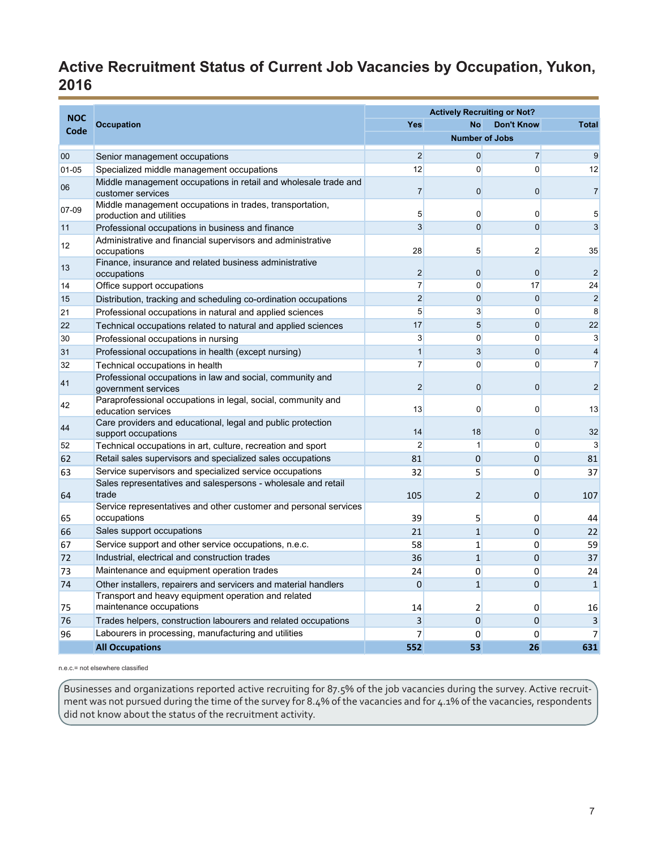# <span id="page-6-0"></span>**Active Recruitment Status of Current Job Vacancies by Occupation, Yukon, 2016**

|                    |                                                                                      |                | <b>Actively Recruiting or Not?</b> |                   |                         |
|--------------------|--------------------------------------------------------------------------------------|----------------|------------------------------------|-------------------|-------------------------|
| <b>NOC</b><br>Code | <b>Occupation</b>                                                                    | <b>Yes</b>     | <b>No</b>                          | <b>Don't Know</b> | <b>Total</b>            |
|                    |                                                                                      |                | <b>Number of Jobs</b>              |                   |                         |
| 00                 | Senior management occupations                                                        | $\overline{2}$ | $\Omega$                           | $\overline{7}$    | 9                       |
| $01 - 05$          | Specialized middle management occupations                                            | 12             | $\Omega$                           | 0                 | 12                      |
| 06                 | Middle management occupations in retail and wholesale trade and<br>customer services | 7              | $\mathbf 0$                        | 0                 | $\overline{7}$          |
| 07-09              | Middle management occupations in trades, transportation,<br>production and utilities | 5              | $\Omega$                           | 0                 | 5                       |
| 11                 | Professional occupations in business and finance                                     | $\overline{3}$ | $\mathbf 0$                        | $\overline{0}$    | 3                       |
| 12                 | Administrative and financial supervisors and administrative<br>occupations           | 28             | 5                                  | 2                 | 35                      |
| 13                 | Finance, insurance and related business administrative<br>occupations                | 2              | $\mathbf 0$                        | $\mathbf 0$       | $\overline{2}$          |
| 14                 | Office support occupations                                                           | $\overline{7}$ | $\Omega$                           | 17                | 24                      |
| 15                 | Distribution, tracking and scheduling co-ordination occupations                      | $\overline{2}$ | $\mathbf 0$                        | $\overline{0}$    | $\overline{c}$          |
| 21                 | Professional occupations in natural and applied sciences                             | 5              | 3                                  | 0                 | 8                       |
| 22                 | Technical occupations related to natural and applied sciences                        | 17             | $5\overline{}$                     | $\overline{0}$    | 22                      |
| 30                 | Professional occupations in nursing                                                  | 3              | $\Omega$                           | 0                 | 3                       |
| 31                 | Professional occupations in health (except nursing)                                  | $\mathbf{1}$   | 3                                  | $\overline{0}$    | $\overline{4}$          |
| 32                 | Technical occupations in health                                                      | $\overline{7}$ | $\mathbf 0$                        | 0                 | $\overline{7}$          |
| 41                 | Professional occupations in law and social, community and<br>government services     | $\overline{2}$ | $\overline{0}$                     | 0                 | $\overline{2}$          |
| 42                 | Paraprofessional occupations in legal, social, community and<br>education services   | 13             | 0                                  | 0                 | 13                      |
| 44                 | Care providers and educational, legal and public protection<br>support occupations   | 14             | 18                                 | 0                 | 32                      |
| 52                 | Technical occupations in art, culture, recreation and sport                          | $\overline{2}$ | 1                                  | 0                 | 3                       |
| 62                 | Retail sales supervisors and specialized sales occupations                           | 81             | $\overline{0}$                     | $\Omega$          | 81                      |
| 63                 | Service supervisors and specialized service occupations                              | 32             | 5                                  | 0                 | 37                      |
| 64                 | Sales representatives and salespersons - wholesale and retail<br>trade               | 105            | $\overline{2}$                     | $\mathbf 0$       | 107                     |
| 65                 | Service representatives and other customer and personal services<br>occupations      | 39             | 5                                  | $\Omega$          | 44                      |
| 66                 | Sales support occupations                                                            | 21             | $\mathbf{1}$                       | $\mathbf 0$       | 22                      |
| 67                 | Service support and other service occupations, n.e.c.                                | 58             | 1                                  | 0                 | 59                      |
| 72                 | Industrial, electrical and construction trades                                       | 36             | $\mathbf{1}$                       | $\mathbf{0}$      | 37                      |
| 73                 | Maintenance and equipment operation trades                                           | 24             | 0                                  | 0                 | 24                      |
| 74                 | Other installers, repairers and servicers and material handlers                      | $\mathbf{0}$   | $\mathbf{1}$                       | 0                 | $\mathbf{1}$            |
| 75                 | Transport and heavy equipment operation and related<br>maintenance occupations       | 14             | $\overline{2}$                     | 0                 | 16                      |
| 76                 | Trades helpers, construction labourers and related occupations                       | 3              | $\mathbf{0}$                       | $\mathbf{0}$      | $\overline{\mathbf{3}}$ |
| 96                 | Labourers in processing, manufacturing and utilities                                 | 7              | 0                                  | 0                 | $\overline{7}$          |
|                    | <b>All Occupations</b>                                                               | 552            | 53                                 | 26                | 631                     |

n.e.c.= not elsewhere classified

Businesses and organizations reported active recruiting for 87.5% of the job vacancies during the survey. Active recruitment was not pursued during the time of the survey for 8.4% of the vacancies and for 4.1% of the vacancies, respondents did not know about the status of the recruitment activity.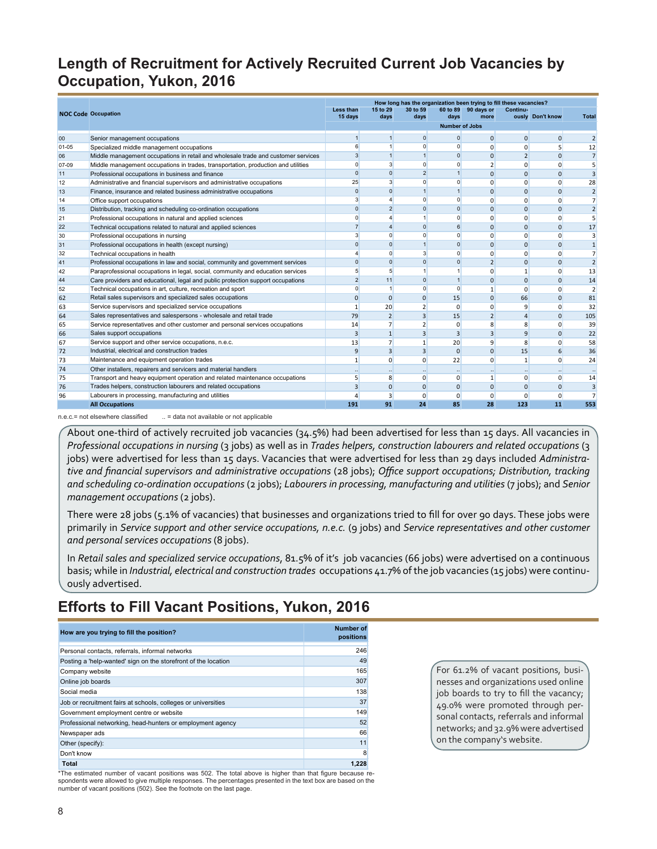## <span id="page-7-0"></span>**Length of Recruitment for Actively Recruited Current Job Vacancies by Occupation, Yukon, 2016**

|           |                                                                                   |                      |                      |                |                               | How long has the organization been trying to fill these vacancies? |                |                  |                      |
|-----------|-----------------------------------------------------------------------------------|----------------------|----------------------|----------------|-------------------------------|--------------------------------------------------------------------|----------------|------------------|----------------------|
|           | <b>NOC Code Occupation</b>                                                        | Less than<br>15 days | 15 to 29<br>days     | 30 to 59       |                               | 60 to 89 90 days or<br>more                                        | Continu-       | ously Don't know | <b>Total</b>         |
|           |                                                                                   |                      |                      | days           | days<br><b>Number of Jobs</b> |                                                                    |                |                  |                      |
|           |                                                                                   |                      |                      |                |                               |                                                                    |                |                  |                      |
| 00        | Senior management occupations                                                     | $\mathbf{1}$         | $\mathbf{1}$         | $\overline{0}$ | $\mathbf{0}$                  | $\mathbf{0}$                                                       | 0              | $\overline{0}$   | $\overline{2}$       |
| $01 - 05$ | Specialized middle management occupations                                         | 6                    | 1                    | $\Omega$       | $\Omega$                      | $\mathbf 0$                                                        | 0              | 5                | 12                   |
| 06        | Middle management occupations in retail and wholesale trade and customer services | $\overline{3}$       | $\vert$              | $\overline{1}$ | $\Omega$                      | $\Omega$                                                           | 2              | $\Omega$         | 7                    |
| 07-09     | Middle management occupations in trades, transportation, production and utilities | $\mathbf{0}$         | 3                    | $\Omega$       | $\Omega$                      | $\overline{2}$                                                     | $\Omega$       | 0                | 5                    |
| 11        | Professional occupations in business and finance                                  | $\Omega$             | $\Omega$             | $\overline{2}$ | $\overline{1}$                | $\Omega$                                                           | $\Omega$       | $\Omega$         | 3                    |
| 12        | Administrative and financial supervisors and administrative occupations           | 25                   | 3                    | $\Omega$       | $\Omega$                      | $\Omega$                                                           | $\Omega$       | $\Omega$         | 28                   |
| 13        | Finance, insurance and related business administrative occupations                | $\Omega$             | $\Omega$             |                | $\mathbf{1}$                  | $\Omega$                                                           | $\Omega$       | $\Omega$         | $\overline{2}$       |
| 14        | Office support occupations                                                        | 3                    | $\overline{4}$       | $\Omega$       | $\Omega$                      | $\Omega$                                                           | $\Omega$       | $\Omega$         | $\overline{7}$       |
| 15        | Distribution, tracking and scheduling co-ordination occupations                   | $\Omega$             | $\overline{2}$       | $\Omega$       | $\Omega$                      | $\Omega$                                                           | $\Omega$       | $\Omega$         | $\overline{2}$       |
| 21        | Professional occupations in natural and applied sciences                          | $\overline{0}$       | 4                    |                | $\Omega$                      | $\Omega$                                                           | $\Omega$       | $\Omega$         | 5                    |
| 22        | Technical occupations related to natural and applied sciences                     | $\overline{7}$       | $\overline{4}$       | $\Omega$       | 6                             | $\mathbf{0}$                                                       | 0              | $\Omega$         | 17                   |
| 30        | Professional occupations in nursing                                               | 3                    | $\overline{0}$       | $\Omega$       | $\Omega$                      | $\Omega$                                                           | $\Omega$       | $\Omega$         | 3                    |
| 31        | Professional occupations in health (except nursing)                               | $\overline{0}$       | $\overline{0}$       | $\overline{1}$ | $\Omega$                      | $\mathbf{0}$                                                       | 0              | $\mathbf 0$      | $\mathbf{1}$         |
| 32        | Technical occupations in health                                                   |                      | $\Omega$             | 3              | $\Omega$                      | $\mathbf{0}$                                                       | $\Omega$       | $\Omega$         | $\overline{7}$       |
| 41        | Professional occupations in law and social, community and government services     | $\Omega$             | $\Omega$             | $\Omega$       | $\Omega$                      | $\overline{2}$                                                     | $\Omega$       | $\Omega$         | $\overline{2}$       |
| 42        | Paraprofessional occupations in legal, social, community and education services   | 5                    | 5                    |                |                               | $\mathbf{0}$                                                       | 1              | $\Omega$         | 13                   |
| 44        | Care providers and educational, legal and public protection support occupations   | $\overline{2}$       | 11                   | $\Omega$       | $\mathbf{1}$                  | $\mathbf{0}$                                                       | $\Omega$       | $\Omega$         | 14                   |
| 52        | Technical occupations in art, culture, recreation and sport                       | $\Omega$             | $\vert$              | $\Omega$       | $\Omega$                      | $\mathbf{1}$                                                       | $\Omega$       | $\Omega$         | $\overline{2}$       |
| 62        | Retail sales supervisors and specialized sales occupations                        | $\mathbf{0}$         | $\overline{0}$       | $\Omega$       | 15                            | $\mathbf{0}$                                                       | 66             | $\Omega$         | 81                   |
| 63        | Service supervisors and specialized service occupations                           | $\mathbf{1}$         | 20                   |                | $\Omega$                      | $\mathbf{0}$                                                       | 9              | $\Omega$         | 32                   |
| 64        | Sales representatives and salespersons - wholesale and retail trade               | 79                   | 2                    | 3              | 15                            | $\overline{2}$                                                     | $\overline{4}$ | $\Omega$         | 105                  |
| 65        | Service representatives and other customer and personal services occupations      | 14                   | $\overline{7}$       | $\overline{2}$ | $\Omega$                      | 8                                                                  | 8              | $\Omega$         | 39                   |
| 66        | Sales support occupations                                                         | 3                    | 1                    | 3              | 3                             | $\overline{3}$                                                     | 9              | $\Omega$         | 22                   |
| 67        | Service support and other service occupations, n.e.c.                             | 13                   | 7                    | $\mathbf{1}$   | 20                            | 9                                                                  | 8              | $\Omega$         | 58                   |
| 72        | Industrial, electrical and construction trades                                    | 9                    | 3                    | 3              | $\Omega$                      | $\Omega$                                                           | 15             | 6                | 36                   |
| 73        | Maintenance and equipment operation trades                                        | $\mathbf{1}$         | $\overline{0}$       | $\Omega$       | 22                            | $\mathbf{0}$                                                       | 1              | $\Omega$         | 24                   |
| 74        | Other installers, repairers and servicers and material handlers                   |                      | $\ddot{\phantom{a}}$ |                |                               | $\ddot{\phantom{a}}$                                               |                |                  | $\ddot{\phantom{a}}$ |
| 75        | Transport and heavy equipment operation and related maintenance occupations       | 5                    | 8                    | $\mathbf{0}$   | 0                             | $\mathbf{1}$                                                       | $\Omega$       | $\overline{0}$   | 14                   |
| 76        | Trades helpers, construction labourers and related occupations                    | 3                    | $\overline{0}$       | $\mathbf{0}$   | $\mathbf{0}$                  | $\mathbf{0}$                                                       | $\mathbf{0}$   | $\mathbf 0$      | $\overline{3}$       |
| 96        | Labourers in processing, manufacturing and utilities                              |                      | 3                    | $\Omega$       | $\Omega$                      | $\Omega$                                                           | $\Omega$       | $\Omega$         | $\overline{7}$       |
|           | <b>All Occupations</b>                                                            | 191                  | 91                   | 24             | 85                            | 28                                                                 | 123            | 11               | 553                  |

n.e.c.= not elsewhere classified ... = data not available or not applicable

About one-third of actively recruited job vacancies (34.5%) had been advertised for less than 15 days. All vacancies in *Professional occupations in nursing* (3 jobs) as well as in *Trades helpers, construction labourers and related occupations* (3 jobs) were advertised for less than 15 days. Vacancies that were advertised for less than 29 days included *Administrative and financial supervisors and administrative occupations* (28 jobs); *Office support occupations; Distribution, tracking and scheduling co-ordination occupations* (2 jobs); *Labourers in processing, manufacturing and utilities* (7 jobs); and *Senior management occupations (2 jobs).* 

There were 28 jobs (5.1% of vacancies) that businesses and organizations tried to fill for over 90 days. These jobs were primarily in *Service support and other service occupations, n.e.c.* (9 jobs) and *Service representatives and other customer and personal services occupations* (8 jobs).

In *Retail sales and specialized service occupations*, 81.5% of it's job vacancies (66 jobs) were advertised on a continuous basis; while in *Industrial, electrical and construction trades* occupations 41.7% of the job vacancies (15 jobs) were continuously advertised.

#### **Efforts to Fill Vacant Positions, Yukon, 2016**

| How are you trying to fill the position?                       | Number of<br>positions |
|----------------------------------------------------------------|------------------------|
| Personal contacts, referrals, informal networks                | 246                    |
| Posting a 'help-wanted' sign on the storefront of the location | 49                     |
| Company website                                                | 165                    |
| Online job boards                                              | 307                    |
| Social media                                                   | 138                    |
| Job or recruitment fairs at schools, colleges or universities  | 37                     |
| Government employment centre or website                        | 149                    |
| Professional networking, head-hunters or employment agency     | 52                     |
| Newspaper ads                                                  | 66                     |
| Other (specify):                                               | 11                     |
| Don't know                                                     | 8                      |
| <b>Total</b>                                                   | 1.228                  |

\*The estimated number of vacant positions was 502. The total above is higher than that figure because respondents were allowed to give multiple responses. The percentages presented in the text box are based on the number of vacant positions (502). See the footnote on the last page.

For 61.2% of vacant positions, businesses and organizations used online job boards to try to fill the vacancy; 49.0% were promoted through personal contacts, referrals and informal networks; and 32.9% were advertised on the company's website.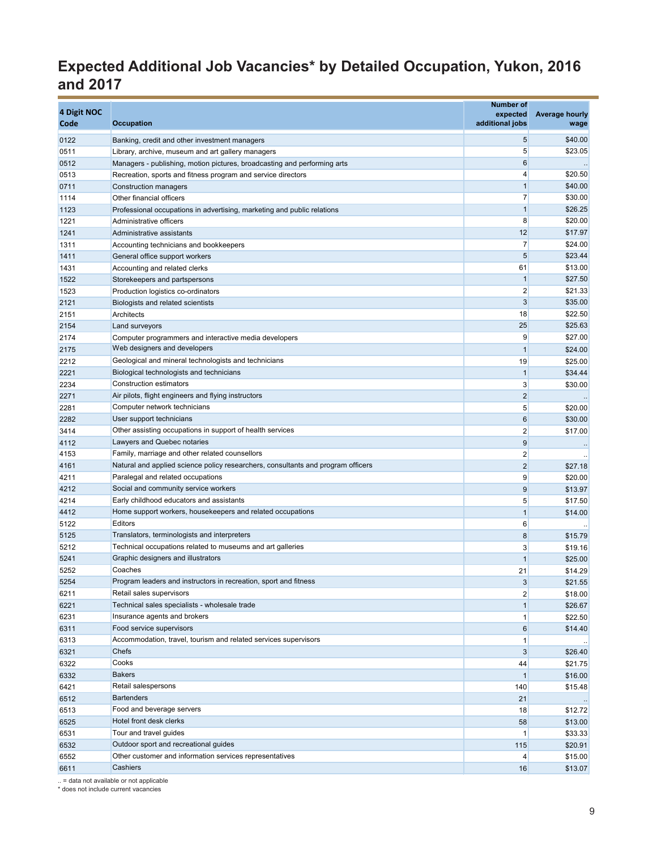# **Expected Additional Job Vacancies\* by Detailed Occupation, Yukon, 2016 and 2017**

| \$40.00<br>5<br>0122<br>Banking, credit and other investment managers<br>5<br>\$23.05<br>0511<br>Library, archive, museum and art gallery managers<br>6<br>0512<br>Managers - publishing, motion pictures, broadcasting and performing arts<br>$\overline{4}$<br>\$20.50<br>0513<br>Recreation, sports and fitness program and service directors<br>$\mathbf{1}$<br>\$40.00<br>0711<br>Construction managers<br>7<br>\$30.00<br>1114<br>Other financial officers<br>$\mathbf{1}$<br>\$26.25<br>1123<br>Professional occupations in advertising, marketing and public relations<br>8<br>\$20.00<br>1221<br>Administrative officers<br>12<br>\$17.97<br>1241<br>Administrative assistants<br>7<br>\$24.00<br>1311<br>Accounting technicians and bookkeepers<br>\$23.44<br>5<br>1411<br>General office support workers<br>\$13.00<br>61<br>1431<br>Accounting and related clerks<br>$\mathbf{1}$<br>\$27.50<br>1522<br>Storekeepers and partspersons<br>$\overline{2}$<br>\$21.33<br>1523<br>Production logistics co-ordinators<br>3<br>\$35.00<br>2121<br>Biologists and related scientists<br>18<br>\$22.50<br>2151<br>Architects<br>25<br>\$25.63<br>2154<br>Land surveyors<br>9<br>\$27.00<br>2174<br>Computer programmers and interactive media developers<br>Web designers and developers<br>$\mathbf{1}$<br>\$24.00<br>2175<br>Geological and mineral technologists and technicians<br>19<br>\$25.00<br>2212<br>Biological technologists and technicians<br>$\mathbf{1}$<br>2221<br>\$34.44<br>Construction estimators<br>3<br>\$30.00<br>2234<br>$\overline{2}$<br>Air pilots, flight engineers and flying instructors<br>2271<br>5<br>Computer network technicians<br>\$20.00<br>2281<br>$6\phantom{1}$<br>User support technicians<br>\$30.00<br>2282<br>Other assisting occupations in support of health services<br>$\overline{2}$<br>\$17.00<br>3414<br>Lawyers and Quebec notaries<br>$9\,$<br>4112<br>$\cdot$<br>4153<br>Family, marriage and other related counsellors<br>$\overline{\mathbf{c}}$<br>Natural and applied science policy researchers, consultants and program officers<br>4161<br>$\overline{2}$<br>\$27.18<br>Paralegal and related occupations<br>9<br>4211<br>\$20.00<br>Social and community service workers<br>$9\,$<br>4212<br>\$13.97<br>Early childhood educators and assistants<br>5<br>4214<br>\$17.50<br>Home support workers, housekeepers and related occupations<br>4412<br>$\mathbf{1}$<br>\$14.00<br>Editors<br>5122<br>6<br>Translators, terminologists and interpreters<br>5125<br>8<br>\$15.79<br>Technical occupations related to museums and art galleries<br>5212<br>3<br>\$19.16<br>Graphic designers and illustrators<br>5241<br>$\mathbf{1}$<br>\$25.00<br>Coaches<br>5252<br>21<br>\$14.29<br>5254<br>Program leaders and instructors in recreation, sport and fitness<br>$\mathbf{3}$<br>\$21.55<br>$\overline{2}$<br>6211<br>Retail sales supervisors<br>\$18.00<br>6221<br>Technical sales specialists - wholesale trade<br>1<br>\$26.67<br>6231<br>Insurance agents and brokers<br>1<br>\$22.50<br>6311<br>Food service supervisors<br>6<br>\$14.40<br>Accommodation, travel, tourism and related services supervisors<br>6313<br>$\mathbf{1}$<br>Chefs<br>6321<br>3<br>\$26.40<br>Cooks<br>44<br>6322<br>\$21.75<br><b>Bakers</b><br>$\mathbf{1}$<br>6332<br>\$16.00<br>Retail salespersons<br>140<br>6421<br>\$15.48<br><b>Bartenders</b><br>6512<br>21<br>Food and beverage servers<br>6513<br>18<br>\$12.72<br>Hotel front desk clerks<br>6525<br>58<br>\$13.00<br>Tour and travel guides<br>6531<br>$\mathbf{1}$<br>\$33.33<br>Outdoor sport and recreational guides<br>6532<br>115<br>\$20.91<br>Other customer and information services representatives<br>6552<br>$\overline{4}$<br>\$15.00<br>Cashiers<br>6611<br>16<br>\$13.07 | 4 Digit NOC<br>Code | <b>Occupation</b> | <b>Number of</b><br>expected<br>additional jobs | <b>Average hourly</b><br>wage |
|----------------------------------------------------------------------------------------------------------------------------------------------------------------------------------------------------------------------------------------------------------------------------------------------------------------------------------------------------------------------------------------------------------------------------------------------------------------------------------------------------------------------------------------------------------------------------------------------------------------------------------------------------------------------------------------------------------------------------------------------------------------------------------------------------------------------------------------------------------------------------------------------------------------------------------------------------------------------------------------------------------------------------------------------------------------------------------------------------------------------------------------------------------------------------------------------------------------------------------------------------------------------------------------------------------------------------------------------------------------------------------------------------------------------------------------------------------------------------------------------------------------------------------------------------------------------------------------------------------------------------------------------------------------------------------------------------------------------------------------------------------------------------------------------------------------------------------------------------------------------------------------------------------------------------------------------------------------------------------------------------------------------------------------------------------------------------------------------------------------------------------------------------------------------------------------------------------------------------------------------------------------------------------------------------------------------------------------------------------------------------------------------------------------------------------------------------------------------------------------------------------------------------------------------------------------------------------------------------------------------------------------------------------------------------------------------------------------------------------------------------------------------------------------------------------------------------------------------------------------------------------------------------------------------------------------------------------------------------------------------------------------------------------------------------------------------------------------------------------------------------------------------------------------------------------------------------------------------------------------------------------------------------------------------------------------------------------------------------------------------------------------------------------------------------------------------------------------------------------------------------------------------------------------------------------------------------------------------------------------------------------------------------------------------------------------------------------------------------------------------------------------------------------------------------|---------------------|-------------------|-------------------------------------------------|-------------------------------|
|                                                                                                                                                                                                                                                                                                                                                                                                                                                                                                                                                                                                                                                                                                                                                                                                                                                                                                                                                                                                                                                                                                                                                                                                                                                                                                                                                                                                                                                                                                                                                                                                                                                                                                                                                                                                                                                                                                                                                                                                                                                                                                                                                                                                                                                                                                                                                                                                                                                                                                                                                                                                                                                                                                                                                                                                                                                                                                                                                                                                                                                                                                                                                                                                                                                                                                                                                                                                                                                                                                                                                                                                                                                                                                                                                                                                    |                     |                   |                                                 |                               |
|                                                                                                                                                                                                                                                                                                                                                                                                                                                                                                                                                                                                                                                                                                                                                                                                                                                                                                                                                                                                                                                                                                                                                                                                                                                                                                                                                                                                                                                                                                                                                                                                                                                                                                                                                                                                                                                                                                                                                                                                                                                                                                                                                                                                                                                                                                                                                                                                                                                                                                                                                                                                                                                                                                                                                                                                                                                                                                                                                                                                                                                                                                                                                                                                                                                                                                                                                                                                                                                                                                                                                                                                                                                                                                                                                                                                    |                     |                   |                                                 |                               |
|                                                                                                                                                                                                                                                                                                                                                                                                                                                                                                                                                                                                                                                                                                                                                                                                                                                                                                                                                                                                                                                                                                                                                                                                                                                                                                                                                                                                                                                                                                                                                                                                                                                                                                                                                                                                                                                                                                                                                                                                                                                                                                                                                                                                                                                                                                                                                                                                                                                                                                                                                                                                                                                                                                                                                                                                                                                                                                                                                                                                                                                                                                                                                                                                                                                                                                                                                                                                                                                                                                                                                                                                                                                                                                                                                                                                    |                     |                   |                                                 |                               |
|                                                                                                                                                                                                                                                                                                                                                                                                                                                                                                                                                                                                                                                                                                                                                                                                                                                                                                                                                                                                                                                                                                                                                                                                                                                                                                                                                                                                                                                                                                                                                                                                                                                                                                                                                                                                                                                                                                                                                                                                                                                                                                                                                                                                                                                                                                                                                                                                                                                                                                                                                                                                                                                                                                                                                                                                                                                                                                                                                                                                                                                                                                                                                                                                                                                                                                                                                                                                                                                                                                                                                                                                                                                                                                                                                                                                    |                     |                   |                                                 |                               |
|                                                                                                                                                                                                                                                                                                                                                                                                                                                                                                                                                                                                                                                                                                                                                                                                                                                                                                                                                                                                                                                                                                                                                                                                                                                                                                                                                                                                                                                                                                                                                                                                                                                                                                                                                                                                                                                                                                                                                                                                                                                                                                                                                                                                                                                                                                                                                                                                                                                                                                                                                                                                                                                                                                                                                                                                                                                                                                                                                                                                                                                                                                                                                                                                                                                                                                                                                                                                                                                                                                                                                                                                                                                                                                                                                                                                    |                     |                   |                                                 |                               |
|                                                                                                                                                                                                                                                                                                                                                                                                                                                                                                                                                                                                                                                                                                                                                                                                                                                                                                                                                                                                                                                                                                                                                                                                                                                                                                                                                                                                                                                                                                                                                                                                                                                                                                                                                                                                                                                                                                                                                                                                                                                                                                                                                                                                                                                                                                                                                                                                                                                                                                                                                                                                                                                                                                                                                                                                                                                                                                                                                                                                                                                                                                                                                                                                                                                                                                                                                                                                                                                                                                                                                                                                                                                                                                                                                                                                    |                     |                   |                                                 |                               |
|                                                                                                                                                                                                                                                                                                                                                                                                                                                                                                                                                                                                                                                                                                                                                                                                                                                                                                                                                                                                                                                                                                                                                                                                                                                                                                                                                                                                                                                                                                                                                                                                                                                                                                                                                                                                                                                                                                                                                                                                                                                                                                                                                                                                                                                                                                                                                                                                                                                                                                                                                                                                                                                                                                                                                                                                                                                                                                                                                                                                                                                                                                                                                                                                                                                                                                                                                                                                                                                                                                                                                                                                                                                                                                                                                                                                    |                     |                   |                                                 |                               |
|                                                                                                                                                                                                                                                                                                                                                                                                                                                                                                                                                                                                                                                                                                                                                                                                                                                                                                                                                                                                                                                                                                                                                                                                                                                                                                                                                                                                                                                                                                                                                                                                                                                                                                                                                                                                                                                                                                                                                                                                                                                                                                                                                                                                                                                                                                                                                                                                                                                                                                                                                                                                                                                                                                                                                                                                                                                                                                                                                                                                                                                                                                                                                                                                                                                                                                                                                                                                                                                                                                                                                                                                                                                                                                                                                                                                    |                     |                   |                                                 |                               |
|                                                                                                                                                                                                                                                                                                                                                                                                                                                                                                                                                                                                                                                                                                                                                                                                                                                                                                                                                                                                                                                                                                                                                                                                                                                                                                                                                                                                                                                                                                                                                                                                                                                                                                                                                                                                                                                                                                                                                                                                                                                                                                                                                                                                                                                                                                                                                                                                                                                                                                                                                                                                                                                                                                                                                                                                                                                                                                                                                                                                                                                                                                                                                                                                                                                                                                                                                                                                                                                                                                                                                                                                                                                                                                                                                                                                    |                     |                   |                                                 |                               |
|                                                                                                                                                                                                                                                                                                                                                                                                                                                                                                                                                                                                                                                                                                                                                                                                                                                                                                                                                                                                                                                                                                                                                                                                                                                                                                                                                                                                                                                                                                                                                                                                                                                                                                                                                                                                                                                                                                                                                                                                                                                                                                                                                                                                                                                                                                                                                                                                                                                                                                                                                                                                                                                                                                                                                                                                                                                                                                                                                                                                                                                                                                                                                                                                                                                                                                                                                                                                                                                                                                                                                                                                                                                                                                                                                                                                    |                     |                   |                                                 |                               |
|                                                                                                                                                                                                                                                                                                                                                                                                                                                                                                                                                                                                                                                                                                                                                                                                                                                                                                                                                                                                                                                                                                                                                                                                                                                                                                                                                                                                                                                                                                                                                                                                                                                                                                                                                                                                                                                                                                                                                                                                                                                                                                                                                                                                                                                                                                                                                                                                                                                                                                                                                                                                                                                                                                                                                                                                                                                                                                                                                                                                                                                                                                                                                                                                                                                                                                                                                                                                                                                                                                                                                                                                                                                                                                                                                                                                    |                     |                   |                                                 |                               |
|                                                                                                                                                                                                                                                                                                                                                                                                                                                                                                                                                                                                                                                                                                                                                                                                                                                                                                                                                                                                                                                                                                                                                                                                                                                                                                                                                                                                                                                                                                                                                                                                                                                                                                                                                                                                                                                                                                                                                                                                                                                                                                                                                                                                                                                                                                                                                                                                                                                                                                                                                                                                                                                                                                                                                                                                                                                                                                                                                                                                                                                                                                                                                                                                                                                                                                                                                                                                                                                                                                                                                                                                                                                                                                                                                                                                    |                     |                   |                                                 |                               |
|                                                                                                                                                                                                                                                                                                                                                                                                                                                                                                                                                                                                                                                                                                                                                                                                                                                                                                                                                                                                                                                                                                                                                                                                                                                                                                                                                                                                                                                                                                                                                                                                                                                                                                                                                                                                                                                                                                                                                                                                                                                                                                                                                                                                                                                                                                                                                                                                                                                                                                                                                                                                                                                                                                                                                                                                                                                                                                                                                                                                                                                                                                                                                                                                                                                                                                                                                                                                                                                                                                                                                                                                                                                                                                                                                                                                    |                     |                   |                                                 |                               |
|                                                                                                                                                                                                                                                                                                                                                                                                                                                                                                                                                                                                                                                                                                                                                                                                                                                                                                                                                                                                                                                                                                                                                                                                                                                                                                                                                                                                                                                                                                                                                                                                                                                                                                                                                                                                                                                                                                                                                                                                                                                                                                                                                                                                                                                                                                                                                                                                                                                                                                                                                                                                                                                                                                                                                                                                                                                                                                                                                                                                                                                                                                                                                                                                                                                                                                                                                                                                                                                                                                                                                                                                                                                                                                                                                                                                    |                     |                   |                                                 |                               |
|                                                                                                                                                                                                                                                                                                                                                                                                                                                                                                                                                                                                                                                                                                                                                                                                                                                                                                                                                                                                                                                                                                                                                                                                                                                                                                                                                                                                                                                                                                                                                                                                                                                                                                                                                                                                                                                                                                                                                                                                                                                                                                                                                                                                                                                                                                                                                                                                                                                                                                                                                                                                                                                                                                                                                                                                                                                                                                                                                                                                                                                                                                                                                                                                                                                                                                                                                                                                                                                                                                                                                                                                                                                                                                                                                                                                    |                     |                   |                                                 |                               |
|                                                                                                                                                                                                                                                                                                                                                                                                                                                                                                                                                                                                                                                                                                                                                                                                                                                                                                                                                                                                                                                                                                                                                                                                                                                                                                                                                                                                                                                                                                                                                                                                                                                                                                                                                                                                                                                                                                                                                                                                                                                                                                                                                                                                                                                                                                                                                                                                                                                                                                                                                                                                                                                                                                                                                                                                                                                                                                                                                                                                                                                                                                                                                                                                                                                                                                                                                                                                                                                                                                                                                                                                                                                                                                                                                                                                    |                     |                   |                                                 |                               |
|                                                                                                                                                                                                                                                                                                                                                                                                                                                                                                                                                                                                                                                                                                                                                                                                                                                                                                                                                                                                                                                                                                                                                                                                                                                                                                                                                                                                                                                                                                                                                                                                                                                                                                                                                                                                                                                                                                                                                                                                                                                                                                                                                                                                                                                                                                                                                                                                                                                                                                                                                                                                                                                                                                                                                                                                                                                                                                                                                                                                                                                                                                                                                                                                                                                                                                                                                                                                                                                                                                                                                                                                                                                                                                                                                                                                    |                     |                   |                                                 |                               |
|                                                                                                                                                                                                                                                                                                                                                                                                                                                                                                                                                                                                                                                                                                                                                                                                                                                                                                                                                                                                                                                                                                                                                                                                                                                                                                                                                                                                                                                                                                                                                                                                                                                                                                                                                                                                                                                                                                                                                                                                                                                                                                                                                                                                                                                                                                                                                                                                                                                                                                                                                                                                                                                                                                                                                                                                                                                                                                                                                                                                                                                                                                                                                                                                                                                                                                                                                                                                                                                                                                                                                                                                                                                                                                                                                                                                    |                     |                   |                                                 |                               |
|                                                                                                                                                                                                                                                                                                                                                                                                                                                                                                                                                                                                                                                                                                                                                                                                                                                                                                                                                                                                                                                                                                                                                                                                                                                                                                                                                                                                                                                                                                                                                                                                                                                                                                                                                                                                                                                                                                                                                                                                                                                                                                                                                                                                                                                                                                                                                                                                                                                                                                                                                                                                                                                                                                                                                                                                                                                                                                                                                                                                                                                                                                                                                                                                                                                                                                                                                                                                                                                                                                                                                                                                                                                                                                                                                                                                    |                     |                   |                                                 |                               |
|                                                                                                                                                                                                                                                                                                                                                                                                                                                                                                                                                                                                                                                                                                                                                                                                                                                                                                                                                                                                                                                                                                                                                                                                                                                                                                                                                                                                                                                                                                                                                                                                                                                                                                                                                                                                                                                                                                                                                                                                                                                                                                                                                                                                                                                                                                                                                                                                                                                                                                                                                                                                                                                                                                                                                                                                                                                                                                                                                                                                                                                                                                                                                                                                                                                                                                                                                                                                                                                                                                                                                                                                                                                                                                                                                                                                    |                     |                   |                                                 |                               |
|                                                                                                                                                                                                                                                                                                                                                                                                                                                                                                                                                                                                                                                                                                                                                                                                                                                                                                                                                                                                                                                                                                                                                                                                                                                                                                                                                                                                                                                                                                                                                                                                                                                                                                                                                                                                                                                                                                                                                                                                                                                                                                                                                                                                                                                                                                                                                                                                                                                                                                                                                                                                                                                                                                                                                                                                                                                                                                                                                                                                                                                                                                                                                                                                                                                                                                                                                                                                                                                                                                                                                                                                                                                                                                                                                                                                    |                     |                   |                                                 |                               |
|                                                                                                                                                                                                                                                                                                                                                                                                                                                                                                                                                                                                                                                                                                                                                                                                                                                                                                                                                                                                                                                                                                                                                                                                                                                                                                                                                                                                                                                                                                                                                                                                                                                                                                                                                                                                                                                                                                                                                                                                                                                                                                                                                                                                                                                                                                                                                                                                                                                                                                                                                                                                                                                                                                                                                                                                                                                                                                                                                                                                                                                                                                                                                                                                                                                                                                                                                                                                                                                                                                                                                                                                                                                                                                                                                                                                    |                     |                   |                                                 |                               |
|                                                                                                                                                                                                                                                                                                                                                                                                                                                                                                                                                                                                                                                                                                                                                                                                                                                                                                                                                                                                                                                                                                                                                                                                                                                                                                                                                                                                                                                                                                                                                                                                                                                                                                                                                                                                                                                                                                                                                                                                                                                                                                                                                                                                                                                                                                                                                                                                                                                                                                                                                                                                                                                                                                                                                                                                                                                                                                                                                                                                                                                                                                                                                                                                                                                                                                                                                                                                                                                                                                                                                                                                                                                                                                                                                                                                    |                     |                   |                                                 |                               |
|                                                                                                                                                                                                                                                                                                                                                                                                                                                                                                                                                                                                                                                                                                                                                                                                                                                                                                                                                                                                                                                                                                                                                                                                                                                                                                                                                                                                                                                                                                                                                                                                                                                                                                                                                                                                                                                                                                                                                                                                                                                                                                                                                                                                                                                                                                                                                                                                                                                                                                                                                                                                                                                                                                                                                                                                                                                                                                                                                                                                                                                                                                                                                                                                                                                                                                                                                                                                                                                                                                                                                                                                                                                                                                                                                                                                    |                     |                   |                                                 |                               |
|                                                                                                                                                                                                                                                                                                                                                                                                                                                                                                                                                                                                                                                                                                                                                                                                                                                                                                                                                                                                                                                                                                                                                                                                                                                                                                                                                                                                                                                                                                                                                                                                                                                                                                                                                                                                                                                                                                                                                                                                                                                                                                                                                                                                                                                                                                                                                                                                                                                                                                                                                                                                                                                                                                                                                                                                                                                                                                                                                                                                                                                                                                                                                                                                                                                                                                                                                                                                                                                                                                                                                                                                                                                                                                                                                                                                    |                     |                   |                                                 |                               |
|                                                                                                                                                                                                                                                                                                                                                                                                                                                                                                                                                                                                                                                                                                                                                                                                                                                                                                                                                                                                                                                                                                                                                                                                                                                                                                                                                                                                                                                                                                                                                                                                                                                                                                                                                                                                                                                                                                                                                                                                                                                                                                                                                                                                                                                                                                                                                                                                                                                                                                                                                                                                                                                                                                                                                                                                                                                                                                                                                                                                                                                                                                                                                                                                                                                                                                                                                                                                                                                                                                                                                                                                                                                                                                                                                                                                    |                     |                   |                                                 |                               |
|                                                                                                                                                                                                                                                                                                                                                                                                                                                                                                                                                                                                                                                                                                                                                                                                                                                                                                                                                                                                                                                                                                                                                                                                                                                                                                                                                                                                                                                                                                                                                                                                                                                                                                                                                                                                                                                                                                                                                                                                                                                                                                                                                                                                                                                                                                                                                                                                                                                                                                                                                                                                                                                                                                                                                                                                                                                                                                                                                                                                                                                                                                                                                                                                                                                                                                                                                                                                                                                                                                                                                                                                                                                                                                                                                                                                    |                     |                   |                                                 |                               |
|                                                                                                                                                                                                                                                                                                                                                                                                                                                                                                                                                                                                                                                                                                                                                                                                                                                                                                                                                                                                                                                                                                                                                                                                                                                                                                                                                                                                                                                                                                                                                                                                                                                                                                                                                                                                                                                                                                                                                                                                                                                                                                                                                                                                                                                                                                                                                                                                                                                                                                                                                                                                                                                                                                                                                                                                                                                                                                                                                                                                                                                                                                                                                                                                                                                                                                                                                                                                                                                                                                                                                                                                                                                                                                                                                                                                    |                     |                   |                                                 |                               |
|                                                                                                                                                                                                                                                                                                                                                                                                                                                                                                                                                                                                                                                                                                                                                                                                                                                                                                                                                                                                                                                                                                                                                                                                                                                                                                                                                                                                                                                                                                                                                                                                                                                                                                                                                                                                                                                                                                                                                                                                                                                                                                                                                                                                                                                                                                                                                                                                                                                                                                                                                                                                                                                                                                                                                                                                                                                                                                                                                                                                                                                                                                                                                                                                                                                                                                                                                                                                                                                                                                                                                                                                                                                                                                                                                                                                    |                     |                   |                                                 |                               |
|                                                                                                                                                                                                                                                                                                                                                                                                                                                                                                                                                                                                                                                                                                                                                                                                                                                                                                                                                                                                                                                                                                                                                                                                                                                                                                                                                                                                                                                                                                                                                                                                                                                                                                                                                                                                                                                                                                                                                                                                                                                                                                                                                                                                                                                                                                                                                                                                                                                                                                                                                                                                                                                                                                                                                                                                                                                                                                                                                                                                                                                                                                                                                                                                                                                                                                                                                                                                                                                                                                                                                                                                                                                                                                                                                                                                    |                     |                   |                                                 |                               |
|                                                                                                                                                                                                                                                                                                                                                                                                                                                                                                                                                                                                                                                                                                                                                                                                                                                                                                                                                                                                                                                                                                                                                                                                                                                                                                                                                                                                                                                                                                                                                                                                                                                                                                                                                                                                                                                                                                                                                                                                                                                                                                                                                                                                                                                                                                                                                                                                                                                                                                                                                                                                                                                                                                                                                                                                                                                                                                                                                                                                                                                                                                                                                                                                                                                                                                                                                                                                                                                                                                                                                                                                                                                                                                                                                                                                    |                     |                   |                                                 |                               |
|                                                                                                                                                                                                                                                                                                                                                                                                                                                                                                                                                                                                                                                                                                                                                                                                                                                                                                                                                                                                                                                                                                                                                                                                                                                                                                                                                                                                                                                                                                                                                                                                                                                                                                                                                                                                                                                                                                                                                                                                                                                                                                                                                                                                                                                                                                                                                                                                                                                                                                                                                                                                                                                                                                                                                                                                                                                                                                                                                                                                                                                                                                                                                                                                                                                                                                                                                                                                                                                                                                                                                                                                                                                                                                                                                                                                    |                     |                   |                                                 |                               |
|                                                                                                                                                                                                                                                                                                                                                                                                                                                                                                                                                                                                                                                                                                                                                                                                                                                                                                                                                                                                                                                                                                                                                                                                                                                                                                                                                                                                                                                                                                                                                                                                                                                                                                                                                                                                                                                                                                                                                                                                                                                                                                                                                                                                                                                                                                                                                                                                                                                                                                                                                                                                                                                                                                                                                                                                                                                                                                                                                                                                                                                                                                                                                                                                                                                                                                                                                                                                                                                                                                                                                                                                                                                                                                                                                                                                    |                     |                   |                                                 |                               |
|                                                                                                                                                                                                                                                                                                                                                                                                                                                                                                                                                                                                                                                                                                                                                                                                                                                                                                                                                                                                                                                                                                                                                                                                                                                                                                                                                                                                                                                                                                                                                                                                                                                                                                                                                                                                                                                                                                                                                                                                                                                                                                                                                                                                                                                                                                                                                                                                                                                                                                                                                                                                                                                                                                                                                                                                                                                                                                                                                                                                                                                                                                                                                                                                                                                                                                                                                                                                                                                                                                                                                                                                                                                                                                                                                                                                    |                     |                   |                                                 |                               |
|                                                                                                                                                                                                                                                                                                                                                                                                                                                                                                                                                                                                                                                                                                                                                                                                                                                                                                                                                                                                                                                                                                                                                                                                                                                                                                                                                                                                                                                                                                                                                                                                                                                                                                                                                                                                                                                                                                                                                                                                                                                                                                                                                                                                                                                                                                                                                                                                                                                                                                                                                                                                                                                                                                                                                                                                                                                                                                                                                                                                                                                                                                                                                                                                                                                                                                                                                                                                                                                                                                                                                                                                                                                                                                                                                                                                    |                     |                   |                                                 |                               |
|                                                                                                                                                                                                                                                                                                                                                                                                                                                                                                                                                                                                                                                                                                                                                                                                                                                                                                                                                                                                                                                                                                                                                                                                                                                                                                                                                                                                                                                                                                                                                                                                                                                                                                                                                                                                                                                                                                                                                                                                                                                                                                                                                                                                                                                                                                                                                                                                                                                                                                                                                                                                                                                                                                                                                                                                                                                                                                                                                                                                                                                                                                                                                                                                                                                                                                                                                                                                                                                                                                                                                                                                                                                                                                                                                                                                    |                     |                   |                                                 |                               |
|                                                                                                                                                                                                                                                                                                                                                                                                                                                                                                                                                                                                                                                                                                                                                                                                                                                                                                                                                                                                                                                                                                                                                                                                                                                                                                                                                                                                                                                                                                                                                                                                                                                                                                                                                                                                                                                                                                                                                                                                                                                                                                                                                                                                                                                                                                                                                                                                                                                                                                                                                                                                                                                                                                                                                                                                                                                                                                                                                                                                                                                                                                                                                                                                                                                                                                                                                                                                                                                                                                                                                                                                                                                                                                                                                                                                    |                     |                   |                                                 |                               |
|                                                                                                                                                                                                                                                                                                                                                                                                                                                                                                                                                                                                                                                                                                                                                                                                                                                                                                                                                                                                                                                                                                                                                                                                                                                                                                                                                                                                                                                                                                                                                                                                                                                                                                                                                                                                                                                                                                                                                                                                                                                                                                                                                                                                                                                                                                                                                                                                                                                                                                                                                                                                                                                                                                                                                                                                                                                                                                                                                                                                                                                                                                                                                                                                                                                                                                                                                                                                                                                                                                                                                                                                                                                                                                                                                                                                    |                     |                   |                                                 |                               |
|                                                                                                                                                                                                                                                                                                                                                                                                                                                                                                                                                                                                                                                                                                                                                                                                                                                                                                                                                                                                                                                                                                                                                                                                                                                                                                                                                                                                                                                                                                                                                                                                                                                                                                                                                                                                                                                                                                                                                                                                                                                                                                                                                                                                                                                                                                                                                                                                                                                                                                                                                                                                                                                                                                                                                                                                                                                                                                                                                                                                                                                                                                                                                                                                                                                                                                                                                                                                                                                                                                                                                                                                                                                                                                                                                                                                    |                     |                   |                                                 |                               |
|                                                                                                                                                                                                                                                                                                                                                                                                                                                                                                                                                                                                                                                                                                                                                                                                                                                                                                                                                                                                                                                                                                                                                                                                                                                                                                                                                                                                                                                                                                                                                                                                                                                                                                                                                                                                                                                                                                                                                                                                                                                                                                                                                                                                                                                                                                                                                                                                                                                                                                                                                                                                                                                                                                                                                                                                                                                                                                                                                                                                                                                                                                                                                                                                                                                                                                                                                                                                                                                                                                                                                                                                                                                                                                                                                                                                    |                     |                   |                                                 |                               |
|                                                                                                                                                                                                                                                                                                                                                                                                                                                                                                                                                                                                                                                                                                                                                                                                                                                                                                                                                                                                                                                                                                                                                                                                                                                                                                                                                                                                                                                                                                                                                                                                                                                                                                                                                                                                                                                                                                                                                                                                                                                                                                                                                                                                                                                                                                                                                                                                                                                                                                                                                                                                                                                                                                                                                                                                                                                                                                                                                                                                                                                                                                                                                                                                                                                                                                                                                                                                                                                                                                                                                                                                                                                                                                                                                                                                    |                     |                   |                                                 |                               |
|                                                                                                                                                                                                                                                                                                                                                                                                                                                                                                                                                                                                                                                                                                                                                                                                                                                                                                                                                                                                                                                                                                                                                                                                                                                                                                                                                                                                                                                                                                                                                                                                                                                                                                                                                                                                                                                                                                                                                                                                                                                                                                                                                                                                                                                                                                                                                                                                                                                                                                                                                                                                                                                                                                                                                                                                                                                                                                                                                                                                                                                                                                                                                                                                                                                                                                                                                                                                                                                                                                                                                                                                                                                                                                                                                                                                    |                     |                   |                                                 |                               |
|                                                                                                                                                                                                                                                                                                                                                                                                                                                                                                                                                                                                                                                                                                                                                                                                                                                                                                                                                                                                                                                                                                                                                                                                                                                                                                                                                                                                                                                                                                                                                                                                                                                                                                                                                                                                                                                                                                                                                                                                                                                                                                                                                                                                                                                                                                                                                                                                                                                                                                                                                                                                                                                                                                                                                                                                                                                                                                                                                                                                                                                                                                                                                                                                                                                                                                                                                                                                                                                                                                                                                                                                                                                                                                                                                                                                    |                     |                   |                                                 |                               |
|                                                                                                                                                                                                                                                                                                                                                                                                                                                                                                                                                                                                                                                                                                                                                                                                                                                                                                                                                                                                                                                                                                                                                                                                                                                                                                                                                                                                                                                                                                                                                                                                                                                                                                                                                                                                                                                                                                                                                                                                                                                                                                                                                                                                                                                                                                                                                                                                                                                                                                                                                                                                                                                                                                                                                                                                                                                                                                                                                                                                                                                                                                                                                                                                                                                                                                                                                                                                                                                                                                                                                                                                                                                                                                                                                                                                    |                     |                   |                                                 |                               |
|                                                                                                                                                                                                                                                                                                                                                                                                                                                                                                                                                                                                                                                                                                                                                                                                                                                                                                                                                                                                                                                                                                                                                                                                                                                                                                                                                                                                                                                                                                                                                                                                                                                                                                                                                                                                                                                                                                                                                                                                                                                                                                                                                                                                                                                                                                                                                                                                                                                                                                                                                                                                                                                                                                                                                                                                                                                                                                                                                                                                                                                                                                                                                                                                                                                                                                                                                                                                                                                                                                                                                                                                                                                                                                                                                                                                    |                     |                   |                                                 |                               |
|                                                                                                                                                                                                                                                                                                                                                                                                                                                                                                                                                                                                                                                                                                                                                                                                                                                                                                                                                                                                                                                                                                                                                                                                                                                                                                                                                                                                                                                                                                                                                                                                                                                                                                                                                                                                                                                                                                                                                                                                                                                                                                                                                                                                                                                                                                                                                                                                                                                                                                                                                                                                                                                                                                                                                                                                                                                                                                                                                                                                                                                                                                                                                                                                                                                                                                                                                                                                                                                                                                                                                                                                                                                                                                                                                                                                    |                     |                   |                                                 |                               |
|                                                                                                                                                                                                                                                                                                                                                                                                                                                                                                                                                                                                                                                                                                                                                                                                                                                                                                                                                                                                                                                                                                                                                                                                                                                                                                                                                                                                                                                                                                                                                                                                                                                                                                                                                                                                                                                                                                                                                                                                                                                                                                                                                                                                                                                                                                                                                                                                                                                                                                                                                                                                                                                                                                                                                                                                                                                                                                                                                                                                                                                                                                                                                                                                                                                                                                                                                                                                                                                                                                                                                                                                                                                                                                                                                                                                    |                     |                   |                                                 |                               |
|                                                                                                                                                                                                                                                                                                                                                                                                                                                                                                                                                                                                                                                                                                                                                                                                                                                                                                                                                                                                                                                                                                                                                                                                                                                                                                                                                                                                                                                                                                                                                                                                                                                                                                                                                                                                                                                                                                                                                                                                                                                                                                                                                                                                                                                                                                                                                                                                                                                                                                                                                                                                                                                                                                                                                                                                                                                                                                                                                                                                                                                                                                                                                                                                                                                                                                                                                                                                                                                                                                                                                                                                                                                                                                                                                                                                    |                     |                   |                                                 |                               |
|                                                                                                                                                                                                                                                                                                                                                                                                                                                                                                                                                                                                                                                                                                                                                                                                                                                                                                                                                                                                                                                                                                                                                                                                                                                                                                                                                                                                                                                                                                                                                                                                                                                                                                                                                                                                                                                                                                                                                                                                                                                                                                                                                                                                                                                                                                                                                                                                                                                                                                                                                                                                                                                                                                                                                                                                                                                                                                                                                                                                                                                                                                                                                                                                                                                                                                                                                                                                                                                                                                                                                                                                                                                                                                                                                                                                    |                     |                   |                                                 |                               |
|                                                                                                                                                                                                                                                                                                                                                                                                                                                                                                                                                                                                                                                                                                                                                                                                                                                                                                                                                                                                                                                                                                                                                                                                                                                                                                                                                                                                                                                                                                                                                                                                                                                                                                                                                                                                                                                                                                                                                                                                                                                                                                                                                                                                                                                                                                                                                                                                                                                                                                                                                                                                                                                                                                                                                                                                                                                                                                                                                                                                                                                                                                                                                                                                                                                                                                                                                                                                                                                                                                                                                                                                                                                                                                                                                                                                    |                     |                   |                                                 |                               |
|                                                                                                                                                                                                                                                                                                                                                                                                                                                                                                                                                                                                                                                                                                                                                                                                                                                                                                                                                                                                                                                                                                                                                                                                                                                                                                                                                                                                                                                                                                                                                                                                                                                                                                                                                                                                                                                                                                                                                                                                                                                                                                                                                                                                                                                                                                                                                                                                                                                                                                                                                                                                                                                                                                                                                                                                                                                                                                                                                                                                                                                                                                                                                                                                                                                                                                                                                                                                                                                                                                                                                                                                                                                                                                                                                                                                    |                     |                   |                                                 |                               |
|                                                                                                                                                                                                                                                                                                                                                                                                                                                                                                                                                                                                                                                                                                                                                                                                                                                                                                                                                                                                                                                                                                                                                                                                                                                                                                                                                                                                                                                                                                                                                                                                                                                                                                                                                                                                                                                                                                                                                                                                                                                                                                                                                                                                                                                                                                                                                                                                                                                                                                                                                                                                                                                                                                                                                                                                                                                                                                                                                                                                                                                                                                                                                                                                                                                                                                                                                                                                                                                                                                                                                                                                                                                                                                                                                                                                    |                     |                   |                                                 |                               |
|                                                                                                                                                                                                                                                                                                                                                                                                                                                                                                                                                                                                                                                                                                                                                                                                                                                                                                                                                                                                                                                                                                                                                                                                                                                                                                                                                                                                                                                                                                                                                                                                                                                                                                                                                                                                                                                                                                                                                                                                                                                                                                                                                                                                                                                                                                                                                                                                                                                                                                                                                                                                                                                                                                                                                                                                                                                                                                                                                                                                                                                                                                                                                                                                                                                                                                                                                                                                                                                                                                                                                                                                                                                                                                                                                                                                    |                     |                   |                                                 |                               |
|                                                                                                                                                                                                                                                                                                                                                                                                                                                                                                                                                                                                                                                                                                                                                                                                                                                                                                                                                                                                                                                                                                                                                                                                                                                                                                                                                                                                                                                                                                                                                                                                                                                                                                                                                                                                                                                                                                                                                                                                                                                                                                                                                                                                                                                                                                                                                                                                                                                                                                                                                                                                                                                                                                                                                                                                                                                                                                                                                                                                                                                                                                                                                                                                                                                                                                                                                                                                                                                                                                                                                                                                                                                                                                                                                                                                    |                     |                   |                                                 |                               |
|                                                                                                                                                                                                                                                                                                                                                                                                                                                                                                                                                                                                                                                                                                                                                                                                                                                                                                                                                                                                                                                                                                                                                                                                                                                                                                                                                                                                                                                                                                                                                                                                                                                                                                                                                                                                                                                                                                                                                                                                                                                                                                                                                                                                                                                                                                                                                                                                                                                                                                                                                                                                                                                                                                                                                                                                                                                                                                                                                                                                                                                                                                                                                                                                                                                                                                                                                                                                                                                                                                                                                                                                                                                                                                                                                                                                    |                     |                   |                                                 |                               |

.. = data not available or not applicable

\* does not include current vacancies

÷.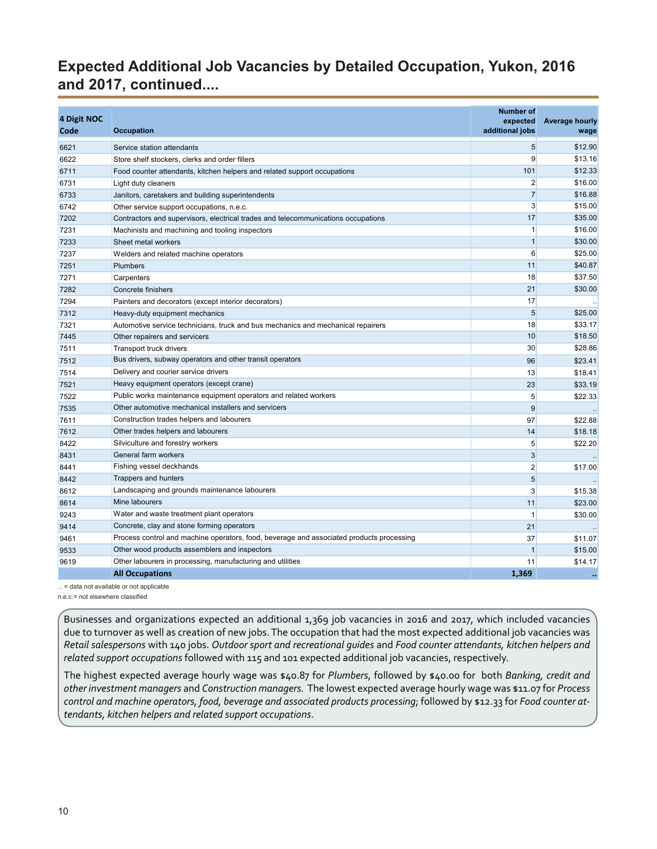## <span id="page-9-0"></span>**Expected Additional Job Vacancies by Detailed Occupation, Yukon, 2016 and 2017, continued....**

|             |                                                                                          | <b>Number of</b> |                       |
|-------------|------------------------------------------------------------------------------------------|------------------|-----------------------|
| 4 Digit NOC |                                                                                          | expected         | <b>Average hourly</b> |
| Code        | <b>Occupation</b>                                                                        | additional jobs  | wage                  |
| 6621        | Service station attendants                                                               | 5                | \$12.90               |
| 6622        | Store shelf stockers, clerks and order fillers                                           | 9                | \$13.16               |
| 6711        | Food counter attendants, kitchen helpers and related support occupations                 | 101              | \$12.33               |
| 6731        | Light duty cleaners                                                                      | $\overline{2}$   | \$16.00               |
| 6733        | Janitors, caretakers and building superintendents                                        | $\overline{7}$   | \$16.88               |
| 6742        | Other service support occupations, n.e.c.                                                | 3                | \$15.00               |
| 7202        | Contractors and supervisors, electrical trades and telecommunications occupations        | 17               | \$35.00               |
| 7231        | Machinists and machining and tooling inspectors                                          | $\mathbf{1}$     | \$16.00               |
| 7233        | Sheet metal workers                                                                      | $\mathbf{1}$     | \$30.00               |
| 7237        | Welders and related machine operators                                                    | 6                | \$25.00               |
| 7251        | <b>Plumbers</b>                                                                          | 11               | \$40.87               |
| 7271        | Carpenters                                                                               | 18               | \$37.50               |
| 7282        | Concrete finishers                                                                       | 21               | \$30.00               |
| 7294        | Painters and decorators (except interior decorators)                                     | 17               |                       |
| 7312        | Heavy-duty equipment mechanics                                                           | 5                | \$25.00               |
| 7321        | Automotive service technicians, truck and bus mechanics and mechanical repairers         | 18               | \$33.17               |
| 7445        | Other repairers and servicers                                                            | 10               | \$18.50               |
| 7511        | Transport truck drivers                                                                  | 30               | \$28.86               |
| 7512        | Bus drivers, subway operators and other transit operators                                | 96               | \$23.41               |
| 7514        | Delivery and courier service drivers                                                     | 13               | \$18.41               |
| 7521        | Heavy equipment operators (except crane)                                                 | 23               | \$33.19               |
| 7522        | Public works maintenance equipment operators and related workers                         | 5                | \$22.33               |
| 7535        | Other automotive mechanical installers and servicers                                     | $\boldsymbol{9}$ |                       |
| 7611        | Construction trades helpers and labourers                                                | 97               | \$22.88               |
| 7612        | Other trades helpers and labourers                                                       | 14               | \$18.18               |
| 8422        | Silviculture and forestry workers                                                        | 5                | \$22.20               |
| 8431        | General farm workers                                                                     | 3                |                       |
| 8441        | Fishing vessel deckhands                                                                 | $\overline{2}$   | \$17.00               |
| 8442        | Trappers and hunters                                                                     | 5                |                       |
| 8612        | Landscaping and grounds maintenance labourers                                            | 3                | \$15.38               |
| 8614        | Mine labourers                                                                           | 11               | \$23.00               |
| 9243        | Water and waste treatment plant operators                                                | $\mathbf{1}$     | \$30.00               |
| 9414        | Concrete, clay and stone forming operators                                               | 21               |                       |
| 9461        | Process control and machine operators, food, beverage and associated products processing | 37               | \$11.07               |
| 9533        | Other wood products assemblers and inspectors                                            | $\mathbf{1}$     | \$15.00               |
| 9619        | Other labourers in processing, manufacturing and utilities                               | 11               | \$14.17               |
|             | <b>All Occupations</b>                                                                   | 1.369            | $\ddot{\phantom{a}}$  |
|             |                                                                                          |                  |                       |

.. = data not available or not applicable

n.e.c.= not elsewhere classified

Businesses and organizations expected an additional 1,369 job vacancies in 2016 and 2017, which included vacancies due to turnover as well as creation of new jobs. The occupation that had the most expected additional job vacancies was *Retail salespersons* with 140 jobs. *Outdoor sport and recreational guides* and *Food counter attendants, kitchen helpers and related support occupations* followed with 115 and 101 expected additional job vacancies, respectively.

The highest expected average hourly wage was \$40.87 for *Plumbers*, followed by \$40.00 for both *Banking, credit and other investment managers* and *Construction managers.* The lowest expected average hourly wage was \$11.07 for *Process control and machine operators, food, beverage and associated products processing*; followed by \$12.33 for *Food counter attendants, kitchen helpers and related support occupations*.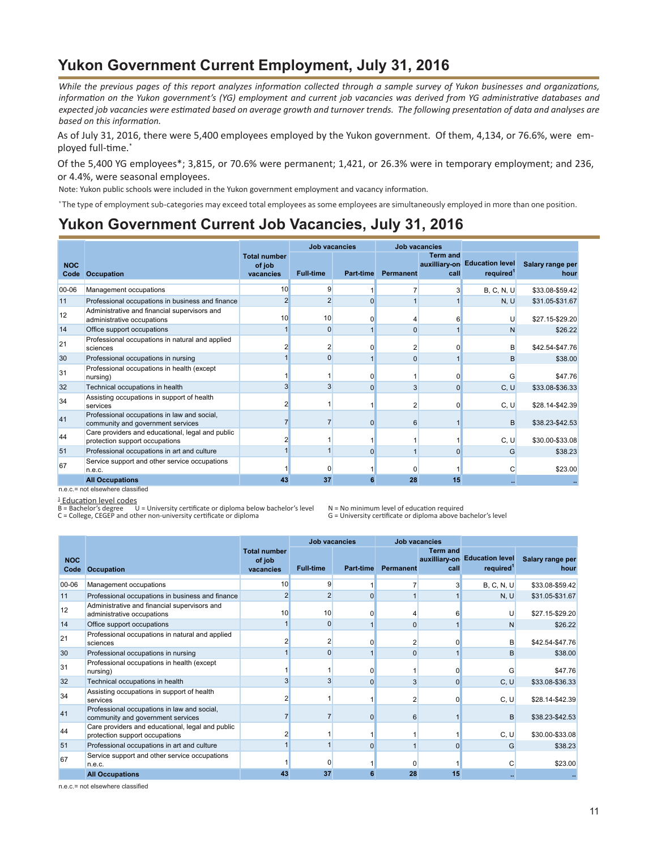#### **Yukon Government Current Employment, July 31, 2016**

*While the previous pages of this report analyzes information collected through a sample survey of Yukon businesses and organizations, information on the Yukon government's (YG) employment and current job vacancies was derived from YG administrative databases and expected job vacancies were estimated based on average growth and turnover trends. The following presentation of data and analyses are based on this information.*

As of July 31, 2016, there were 5,400 employees employed by the Yukon government. Of them, 4,134, or 76.6%, were employed full-time.\*

Of the 5,400 YG employees\*; 3,815, or 70.6% were permanent; 1,421, or 26.3% were in temporary employment; and 236, or 4.4%, were seasonal employees.

Note: Yukon public schools were included in the Yukon government employment and vacancy information.

\* The type of employment sub-categories may exceed total employees as some employees are simultaneously employed in more than one position.

#### **Yukon Government Current Job Vacancies, July 31, 2016**

|                    |                                                                                    |                                            | Job vacancies    |                  | <b>Job vacancies</b> |                         |                                                        |                          |
|--------------------|------------------------------------------------------------------------------------|--------------------------------------------|------------------|------------------|----------------------|-------------------------|--------------------------------------------------------|--------------------------|
| <b>NOC</b><br>Code | <b>Occupation</b>                                                                  | <b>Total number</b><br>of job<br>vacancies | <b>Full-time</b> | <b>Part-time</b> | <b>Permanent</b>     | <b>Term and</b><br>call | auxilliary-on Education level<br>required <sup>1</sup> | Salary range per<br>hour |
| 00-06              | Management occupations                                                             | 10                                         | 9                |                  |                      |                         | B, C, N, U                                             | \$33.08-\$59.42          |
| 11                 | Professional occupations in business and finance                                   | $\overline{2}$                             | $\overline{2}$   | $\Omega$         |                      |                         | N, U                                                   | \$31.05-\$31.67          |
| 12                 | Administrative and financial supervisors and<br>administrative occupations         | 10                                         | 10               | 0                |                      |                         | U                                                      | \$27.15-\$29.20          |
| 14                 | Office support occupations                                                         |                                            | $\Omega$         |                  | 0                    |                         | N                                                      | \$26.22                  |
| 21                 | Professional occupations in natural and applied<br>sciences                        |                                            | $\overline{2}$   | $\Omega$         | 2                    |                         | B                                                      | \$42.54-\$47.76          |
| 30                 | Professional occupations in nursing                                                |                                            | $\Omega$         |                  |                      |                         | B                                                      | \$38.00                  |
| 31                 | Professional occupations in health (except<br>nursing)                             |                                            |                  | $\Omega$         |                      | 0                       | G                                                      | \$47.76                  |
| 32                 | Technical occupations in health                                                    | 3                                          |                  | $\Omega$         | 3                    | $\overline{0}$          | C, U                                                   | \$33.08-\$36.33          |
| 34                 | Assisting occupations in support of health<br>services                             | $\overline{c}$                             |                  |                  |                      | O                       | C, U                                                   | \$28.14-\$42.39          |
| 41                 | Professional occupations in law and social,<br>community and government services   |                                            |                  | $\Omega$         | 6                    |                         | B                                                      | \$38.23-\$42.53          |
| 44                 | Care providers and educational, legal and public<br>protection support occupations |                                            |                  |                  |                      |                         | C, U                                                   | \$30.00-\$33.08          |
| 51                 | Professional occupations in art and culture                                        |                                            |                  | $\Omega$         |                      | $\Omega$                | G                                                      | \$38.23                  |
| 67                 | Service support and other service occupations<br>n.e.c.                            |                                            | $\Omega$         |                  |                      |                         |                                                        | \$23.00                  |
|                    | <b>All Occupations</b>                                                             | 43                                         | 37               | 6                | 28                   | 15                      |                                                        |                          |
|                    | n.e.c.= not elsewhere classified                                                   |                                            |                  |                  |                      |                         |                                                        |                          |

<sup>1</sup>\_<u>Education level codes</u><br>B = Bachelor's degree U = University certificate or diploma below bachelor's level N = No minimum level of education required<br>C = College, CEGEP and other non-university certificate or diplo

|            |                                                                                    |                                            | <b>Job vacancies</b>    |           | <b>Job vacancies</b> |                         |                                                        |                          |
|------------|------------------------------------------------------------------------------------|--------------------------------------------|-------------------------|-----------|----------------------|-------------------------|--------------------------------------------------------|--------------------------|
| <b>NOC</b> | <b>Code Occupation</b>                                                             | <b>Total number</b><br>of job<br>vacancies | <b>Full-time</b>        | Part-time | Permanent            | <b>Term and</b><br>call | auxilliary-on Education level<br>required <sup>1</sup> | Salary range per<br>hour |
| 00-06      | Management occupations                                                             | 10                                         | 9                       |           |                      | 3                       | B, C, N, U                                             | \$33.08-\$59.42          |
| 11         | Professional occupations in business and finance                                   |                                            | $\overline{2}$          | $\Omega$  |                      |                         | N, U                                                   | \$31.05-\$31.67          |
| 12         | Administrative and financial supervisors and<br>administrative occupations         | 10                                         | 10                      |           |                      | 61                      |                                                        | \$27.15-\$29.20          |
| 14         | Office support occupations                                                         |                                            | 0                       |           |                      |                         | N                                                      | \$26.22                  |
| 21         | Professional occupations in natural and applied<br>sciences                        |                                            | 2                       |           |                      |                         | в                                                      | \$42.54-\$47.76          |
| 30         | Professional occupations in nursing                                                |                                            | n                       |           | $\Omega$             |                         | B                                                      | \$38.00                  |
| 31         | Professional occupations in health (except<br>nursing)                             |                                            |                         |           |                      |                         |                                                        | \$47.76                  |
| 32         | Technical occupations in health                                                    |                                            | $\overline{\mathbf{3}}$ | $\Omega$  | 3                    | $\Omega$                | C, U                                                   | \$33.08-\$36.33          |
| 34         | Assisting occupations in support of health<br>services                             |                                            |                         |           |                      | 0                       | C, U                                                   | \$28.14-\$42.39          |
| 41         | Professional occupations in law and social,<br>community and government services   |                                            |                         | $\Omega$  | 6                    |                         | B                                                      | \$38.23-\$42.53          |
| 44         | Care providers and educational, legal and public<br>protection support occupations |                                            |                         |           |                      |                         | C, U                                                   | \$30.00-\$33.08          |
| 51         | Professional occupations in art and culture                                        |                                            |                         | $\Omega$  |                      | $\Omega$                | G                                                      | \$38.23                  |
| 67         | Service support and other service occupations<br>n.e.c.                            |                                            |                         |           |                      |                         |                                                        | \$23.00                  |
|            | <b>All Occupations</b>                                                             | 43                                         | 37                      |           | 28                   | 15                      | $\sim$                                                 |                          |

n.e.c.= not elsewhere classified